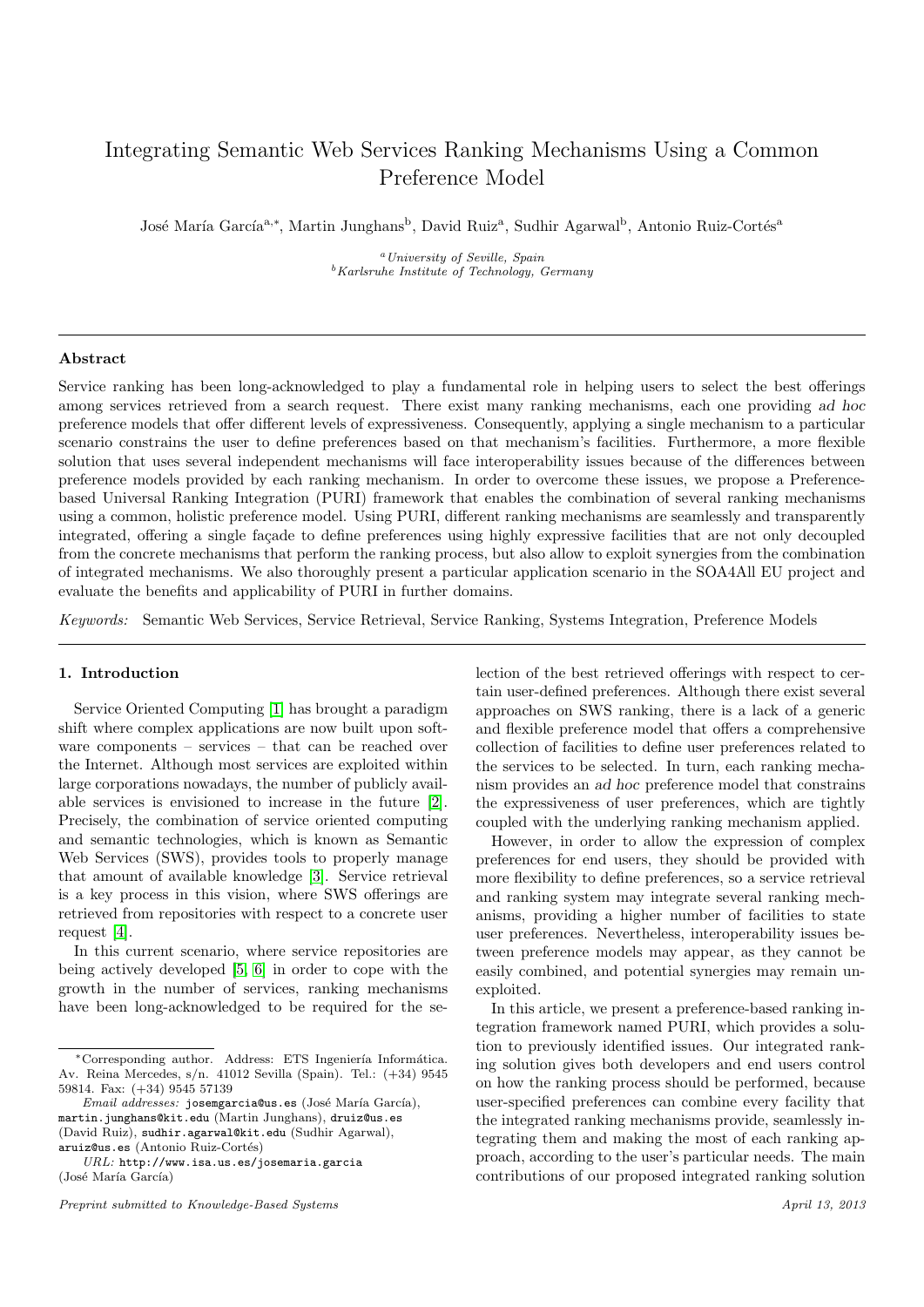# Integrating Semantic Web Services Ranking Mechanisms Using a Common Preference Model

José María García<sup>a,∗</sup>, Martin Junghans<sup>b</sup>, David Ruiz<sup>a</sup>, Sudhir Agarwal<sup>b</sup>, Antonio Ruiz-Cortés<sup>a</sup>

<sup>a</sup>University of Seville, Spain  $b$ Karlsruhe Institute of Technology, Germany

#### Abstract

Service ranking has been long-acknowledged to play a fundamental role in helping users to select the best offerings among services retrieved from a search request. There exist many ranking mechanisms, each one providing ad hoc preference models that offer different levels of expressiveness. Consequently, applying a single mechanism to a particular scenario constrains the user to define preferences based on that mechanism's facilities. Furthermore, a more flexible solution that uses several independent mechanisms will face interoperability issues because of the differences between preference models provided by each ranking mechanism. In order to overcome these issues, we propose a Preferencebased Universal Ranking Integration (PURI) framework that enables the combination of several ranking mechanisms using a common, holistic preference model. Using PURI, different ranking mechanisms are seamlessly and transparently integrated, offering a single façade to define preferences using highly expressive facilities that are not only decoupled from the concrete mechanisms that perform the ranking process, but also allow to exploit synergies from the combination of integrated mechanisms. We also thoroughly present a particular application scenario in the SOA4All EU project and evaluate the benefits and applicability of PURI in further domains.

Keywords: Semantic Web Services, Service Retrieval, Service Ranking, Systems Integration, Preference Models

#### 1. Introduction

Service Oriented Computing [\[1\]](#page-17-0) has brought a paradigm shift where complex applications are now built upon software components – services – that can be reached over the Internet. Although most services are exploited within large corporations nowadays, the number of publicly available services is envisioned to increase in the future [\[2\]](#page-17-1). Precisely, the combination of service oriented computing and semantic technologies, which is known as Semantic Web Services (SWS), provides tools to properly manage that amount of available knowledge [\[3\]](#page-17-2). Service retrieval is a key process in this vision, where SWS offerings are retrieved from repositories with respect to a concrete user request [\[4\]](#page-17-3).

In this current scenario, where service repositories are being actively developed [\[5,](#page-17-4) [6\]](#page-17-5) in order to cope with the growth in the number of services, ranking mechanisms have been long-acknowledged to be required for the selection of the best retrieved offerings with respect to certain user-defined preferences. Although there exist several approaches on SWS ranking, there is a lack of a generic and flexible preference model that offers a comprehensive collection of facilities to define user preferences related to the services to be selected. In turn, each ranking mechanism provides an ad hoc preference model that constrains the expressiveness of user preferences, which are tightly coupled with the underlying ranking mechanism applied.

However, in order to allow the expression of complex preferences for end users, they should be provided with more flexibility to define preferences, so a service retrieval and ranking system may integrate several ranking mechanisms, providing a higher number of facilities to state user preferences. Nevertheless, interoperability issues between preference models may appear, as they cannot be easily combined, and potential synergies may remain unexploited.

In this article, we present a preference-based ranking integration framework named PURI, which provides a solution to previously identified issues. Our integrated ranking solution gives both developers and end users control on how the ranking process should be performed, because user-specified preferences can combine every facility that the integrated ranking mechanisms provide, seamlessly integrating them and making the most of each ranking approach, according to the user's particular needs. The main contributions of our proposed integrated ranking solution

<sup>\*</sup>Corresponding author. Address: ETS Ingeniería Informática. Av. Reina Mercedes, s/n. 41012 Sevilla (Spain). Tel.: (+34) 9545 59814. Fax: (+34) 9545 57139

 $Email \; addresses: \; josemgarcia@us.$ es (José María García), martin.junghans@kit.edu (Martin Junghans), druiz@us.es (David Ruiz), sudhir.agarwal@kit.edu (Sudhir Agarwal), aruiz@us.es (Antonio Ruiz-Cortés)

URL: http://www.isa.us.es/josemaria.garcia (José María García)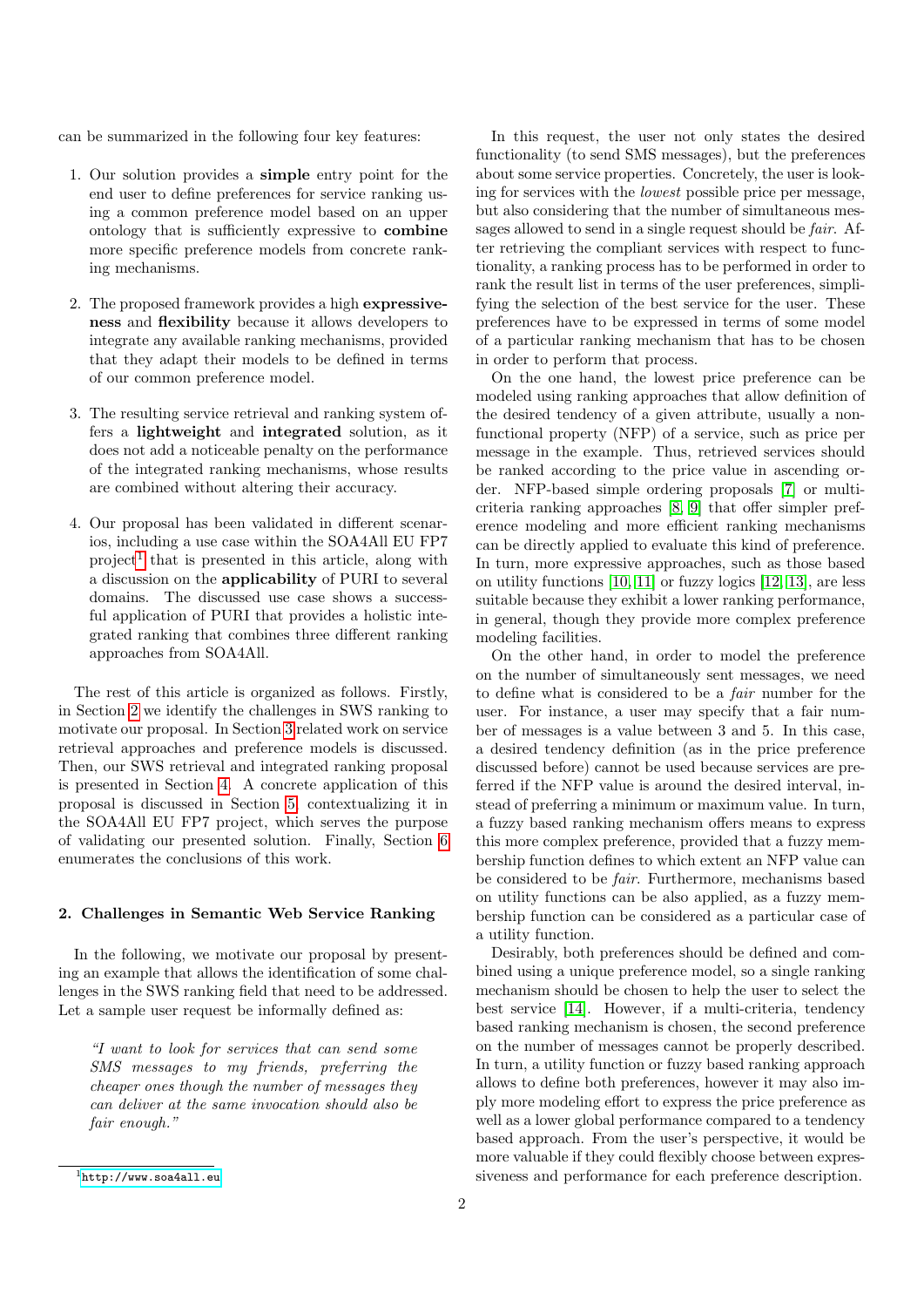can be summarized in the following four key features:

- 1. Our solution provides a simple entry point for the end user to define preferences for service ranking using a common preference model based on an upper ontology that is sufficiently expressive to combine more specific preference models from concrete ranking mechanisms.
- 2. The proposed framework provides a high expressiveness and flexibility because it allows developers to integrate any available ranking mechanisms, provided that they adapt their models to be defined in terms of our common preference model.
- 3. The resulting service retrieval and ranking system offers a lightweight and integrated solution, as it does not add a noticeable penalty on the performance of the integrated ranking mechanisms, whose results are combined without altering their accuracy.
- 4. Our proposal has been validated in different scenarios, including a use case within the SOA4All EU FP7  $project<sup>1</sup>$  $project<sup>1</sup>$  $project<sup>1</sup>$  that is presented in this article, along with a discussion on the applicability of PURI to several domains. The discussed use case shows a successful application of PURI that provides a holistic integrated ranking that combines three different ranking approaches from SOA4All.

The rest of this article is organized as follows. Firstly, in Section [2](#page-1-1) we identify the challenges in SWS ranking to motivate our proposal. In Section [3](#page-2-0) related work on service retrieval approaches and preference models is discussed. Then, our SWS retrieval and integrated ranking proposal is presented in Section [4.](#page-3-0) A concrete application of this proposal is discussed in Section [5,](#page-8-0) contextualizing it in the SOA4All EU FP7 project, which serves the purpose of validating our presented solution. Finally, Section [6](#page-15-0) enumerates the conclusions of this work.

#### <span id="page-1-1"></span>2. Challenges in Semantic Web Service Ranking

In the following, we motivate our proposal by presenting an example that allows the identification of some challenges in the SWS ranking field that need to be addressed. Let a sample user request be informally defined as:

"I want to look for services that can send some SMS messages to my friends, preferring the cheaper ones though the number of messages they can deliver at the same invocation should also be fair enough."

In this request, the user not only states the desired functionality (to send SMS messages), but the preferences about some service properties. Concretely, the user is looking for services with the lowest possible price per message, but also considering that the number of simultaneous messages allowed to send in a single request should be fair. After retrieving the compliant services with respect to functionality, a ranking process has to be performed in order to rank the result list in terms of the user preferences, simplifying the selection of the best service for the user. These preferences have to be expressed in terms of some model of a particular ranking mechanism that has to be chosen in order to perform that process.

On the one hand, the lowest price preference can be modeled using ranking approaches that allow definition of the desired tendency of a given attribute, usually a nonfunctional property (NFP) of a service, such as price per message in the example. Thus, retrieved services should be ranked according to the price value in ascending order. NFP-based simple ordering proposals [\[7\]](#page-17-6) or multicriteria ranking approaches [\[8,](#page-17-7) [9\]](#page-17-8) that offer simpler preference modeling and more efficient ranking mechanisms can be directly applied to evaluate this kind of preference. In turn, more expressive approaches, such as those based on utility functions [\[10,](#page-17-9) [11\]](#page-17-10) or fuzzy logics [\[12,](#page-17-11) [13\]](#page-17-12), are less suitable because they exhibit a lower ranking performance, in general, though they provide more complex preference modeling facilities.

On the other hand, in order to model the preference on the number of simultaneously sent messages, we need to define what is considered to be a fair number for the user. For instance, a user may specify that a fair number of messages is a value between 3 and 5. In this case, a desired tendency definition (as in the price preference discussed before) cannot be used because services are preferred if the NFP value is around the desired interval, instead of preferring a minimum or maximum value. In turn, a fuzzy based ranking mechanism offers means to express this more complex preference, provided that a fuzzy membership function defines to which extent an NFP value can be considered to be fair. Furthermore, mechanisms based on utility functions can be also applied, as a fuzzy membership function can be considered as a particular case of a utility function.

Desirably, both preferences should be defined and combined using a unique preference model, so a single ranking mechanism should be chosen to help the user to select the best service [\[14\]](#page-17-13). However, if a multi-criteria, tendency based ranking mechanism is chosen, the second preference on the number of messages cannot be properly described. In turn, a utility function or fuzzy based ranking approach allows to define both preferences, however it may also imply more modeling effort to express the price preference as well as a lower global performance compared to a tendency based approach. From the user's perspective, it would be more valuable if they could flexibly choose between expressiveness and performance for each preference description.

<span id="page-1-0"></span> $1$ <http://www.soa4all.eu>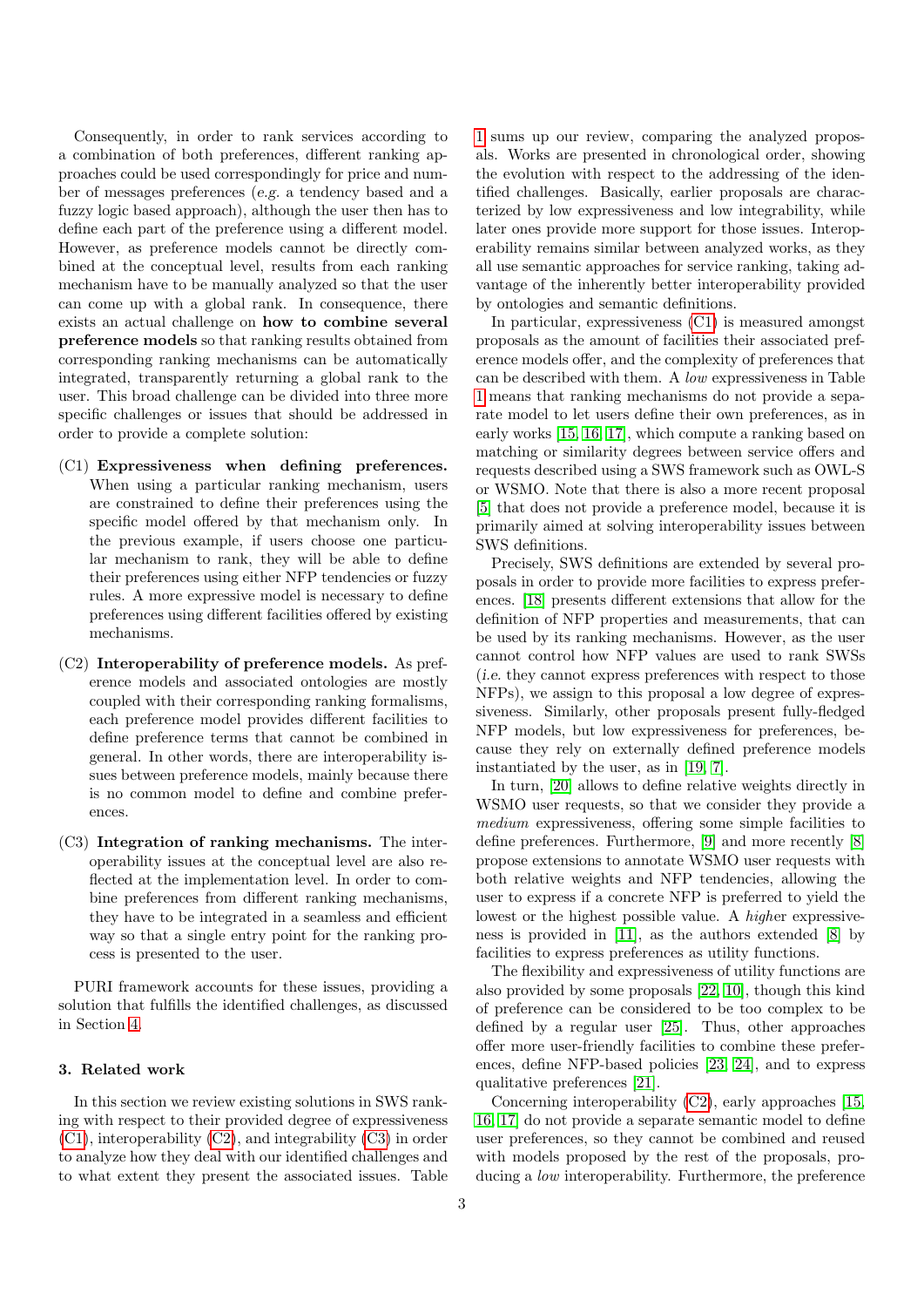Consequently, in order to rank services according to a combination of both preferences, different ranking approaches could be used correspondingly for price and number of messages preferences (e.g. a tendency based and a fuzzy logic based approach), although the user then has to define each part of the preference using a different model. However, as preference models cannot be directly combined at the conceptual level, results from each ranking mechanism have to be manually analyzed so that the user can come up with a global rank. In consequence, there exists an actual challenge on how to combine several preference models so that ranking results obtained from corresponding ranking mechanisms can be automatically integrated, transparently returning a global rank to the user. This broad challenge can be divided into three more specific challenges or issues that should be addressed in order to provide a complete solution:

- <span id="page-2-1"></span>(C1) Expressiveness when defining preferences. When using a particular ranking mechanism, users are constrained to define their preferences using the specific model offered by that mechanism only. In the previous example, if users choose one particular mechanism to rank, they will be able to define their preferences using either NFP tendencies or fuzzy rules. A more expressive model is necessary to define preferences using different facilities offered by existing mechanisms.
- <span id="page-2-2"></span>(C2) Interoperability of preference models. As preference models and associated ontologies are mostly coupled with their corresponding ranking formalisms, each preference model provides different facilities to define preference terms that cannot be combined in general. In other words, there are interoperability issues between preference models, mainly because there is no common model to define and combine preferences.
- <span id="page-2-3"></span>(C3) Integration of ranking mechanisms. The interoperability issues at the conceptual level are also reflected at the implementation level. In order to combine preferences from different ranking mechanisms, they have to be integrated in a seamless and efficient way so that a single entry point for the ranking process is presented to the user.

PURI framework accounts for these issues, providing a solution that fulfills the identified challenges, as discussed in Section [4.](#page-3-0)

#### <span id="page-2-0"></span>3. Related work

In this section we review existing solutions in SWS ranking with respect to their provided degree of expressiveness [\(C1\)](#page-2-1), interoperability [\(C2\)](#page-2-2), and integrability [\(C3\)](#page-2-3) in order to analyze how they deal with our identified challenges and to what extent they present the associated issues. Table

[1](#page-3-1) sums up our review, comparing the analyzed proposals. Works are presented in chronological order, showing the evolution with respect to the addressing of the identified challenges. Basically, earlier proposals are characterized by low expressiveness and low integrability, while later ones provide more support for those issues. Interoperability remains similar between analyzed works, as they all use semantic approaches for service ranking, taking advantage of the inherently better interoperability provided by ontologies and semantic definitions.

In particular, expressiveness [\(C1\)](#page-2-1) is measured amongst proposals as the amount of facilities their associated preference models offer, and the complexity of preferences that can be described with them. A low expressiveness in Table [1](#page-3-1) means that ranking mechanisms do not provide a separate model to let users define their own preferences, as in early works [\[15,](#page-17-14) [16,](#page-17-15) [17\]](#page-17-16), which compute a ranking based on matching or similarity degrees between service offers and requests described using a SWS framework such as OWL-S or WSMO. Note that there is also a more recent proposal [\[5\]](#page-17-4) that does not provide a preference model, because it is primarily aimed at solving interoperability issues between SWS definitions.

Precisely, SWS definitions are extended by several proposals in order to provide more facilities to express preferences. [\[18\]](#page-17-17) presents different extensions that allow for the definition of NFP properties and measurements, that can be used by its ranking mechanisms. However, as the user cannot control how NFP values are used to rank SWSs (i.e. they cannot express preferences with respect to those NFPs), we assign to this proposal a low degree of expressiveness. Similarly, other proposals present fully-fledged NFP models, but low expressiveness for preferences, because they rely on externally defined preference models instantiated by the user, as in [\[19,](#page-17-18) [7\]](#page-17-6).

In turn, [\[20\]](#page-17-19) allows to define relative weights directly in WSMO user requests, so that we consider they provide a medium expressiveness, offering some simple facilities to define preferences. Furthermore, [\[9\]](#page-17-8) and more recently [\[8\]](#page-17-7) propose extensions to annotate WSMO user requests with both relative weights and NFP tendencies, allowing the user to express if a concrete NFP is preferred to yield the lowest or the highest possible value. A higher expressiveness is provided in [\[11\]](#page-17-10), as the authors extended [\[8\]](#page-17-7) by facilities to express preferences as utility functions.

The flexibility and expressiveness of utility functions are also provided by some proposals [\[22,](#page-17-20) [10\]](#page-17-9), though this kind of preference can be considered to be too complex to be defined by a regular user [\[25\]](#page-17-21). Thus, other approaches offer more user-friendly facilities to combine these preferences, define NFP-based policies [\[23,](#page-17-22) [24\]](#page-17-23), and to express qualitative preferences [\[21\]](#page-17-24).

Concerning interoperability [\(C2\)](#page-2-2), early approaches [\[15,](#page-17-14) [16,](#page-17-15) [17\]](#page-17-16) do not provide a separate semantic model to define user preferences, so they cannot be combined and reused with models proposed by the rest of the proposals, producing a *low* interoperability. Furthermore, the preference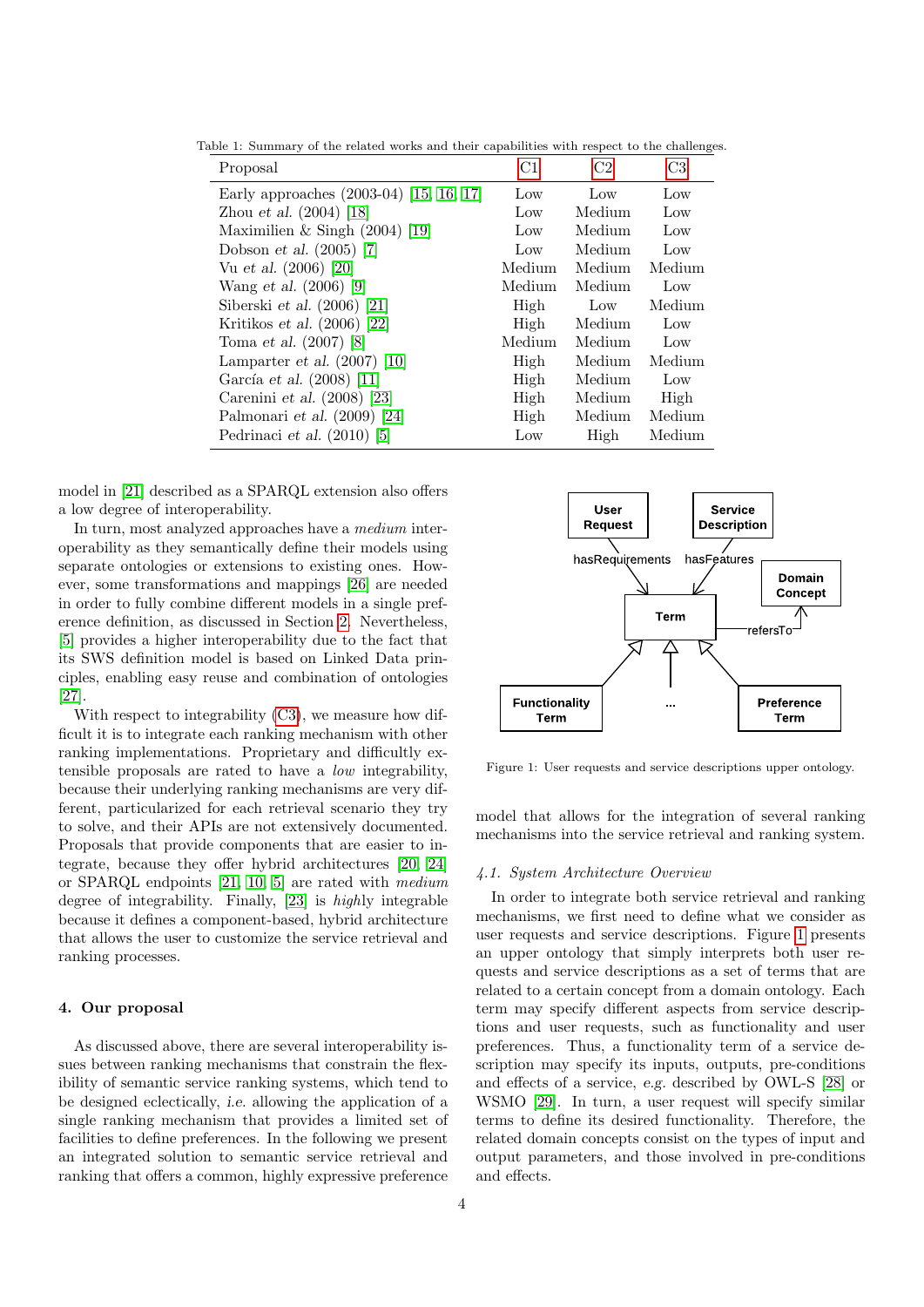Table 1: Summary of the related works and their capabilities with respect to the challenges.

<span id="page-3-1"></span>

| Proposal                                  | C1     | C2              | C <sub>3</sub> |
|-------------------------------------------|--------|-----------------|----------------|
| Early approaches $(2003-04)$ [15, 16, 17] | Low    | Low             | Low            |
| Zhou et al. $(2004)$ [18]                 | Low    | Medium          | Low            |
| Maximilien & Singh $(2004)$ [19]          | Low    | Medium          | Low            |
| Dobson et al. $(2005)$ [7]                | Low    | Medium          | Low            |
| Vu et al. $(2006)$ [20]                   | Medium | Medium          | Medium         |
| Wang <i>et al.</i> $(2006)$ [9]           | Medium | Medium          | Low            |
| Siberski et al. $(2006)$ [21]             | High   | $_{\text{Low}}$ | Medium         |
| Kritikos et al. $(2006)$ [22]             | High   | Medium          | Low            |
| Toma <i>et al.</i> $(2007)$ [8]           | Medium | Medium          | Low            |
| Lamparter <i>et al.</i> $(2007)$ [10]     | High   | Medium          | Medium         |
| García et al. (2008) [11]                 | High   | Medium          | Low            |
| Carenini et al. $(2008)$ [23]             | High   | Medium          | High           |
| Palmonari et al. $(2009)$ [24]            | High   | Medium          | Medium         |
| Pedrinaci et al. $(2010)$ [5]             | Low    | High            | Medium         |

model in [\[21\]](#page-17-24) described as a SPARQL extension also offers a low degree of interoperability.

In turn, most analyzed approaches have a medium interoperability as they semantically define their models using separate ontologies or extensions to existing ones. However, some transformations and mappings [\[26\]](#page-17-25) are needed in order to fully combine different models in a single preference definition, as discussed in Section [2.](#page-1-1) Nevertheless, [\[5\]](#page-17-4) provides a higher interoperability due to the fact that its SWS definition model is based on Linked Data principles, enabling easy reuse and combination of ontologies [\[27\]](#page-17-26).

With respect to integrability  $(C3)$ , we measure how difficult it is to integrate each ranking mechanism with other ranking implementations. Proprietary and difficultly extensible proposals are rated to have a low integrability, because their underlying ranking mechanisms are very different, particularized for each retrieval scenario they try to solve, and their APIs are not extensively documented. Proposals that provide components that are easier to integrate, because they offer hybrid architectures [\[20,](#page-17-19) [24\]](#page-17-23) or SPARQL endpoints [\[21,](#page-17-24) [10,](#page-17-9) [5\]](#page-17-4) are rated with medium degree of integrability. Finally, [\[23\]](#page-17-22) is highly integrable because it defines a component-based, hybrid architecture that allows the user to customize the service retrieval and ranking processes.

#### <span id="page-3-0"></span>4. Our proposal

As discussed above, there are several interoperability issues between ranking mechanisms that constrain the flexibility of semantic service ranking systems, which tend to be designed eclectically, i.e. allowing the application of a single ranking mechanism that provides a limited set of facilities to define preferences. In the following we present an integrated solution to semantic service retrieval and ranking that offers a common, highly expressive preference



<span id="page-3-2"></span>Figure 1: User requests and service descriptions upper ontology.

model that allows for the integration of several ranking mechanisms into the service retrieval and ranking system.

## 4.1. System Architecture Overview

In order to integrate both service retrieval and ranking mechanisms, we first need to define what we consider as user requests and service descriptions. Figure [1](#page-3-2) presents an upper ontology that simply interprets both user requests and service descriptions as a set of terms that are related to a certain concept from a domain ontology. Each term may specify different aspects from service descriptions and user requests, such as functionality and user preferences. Thus, a functionality term of a service description may specify its inputs, outputs, pre-conditions and effects of a service, e.g. described by OWL-S [\[28\]](#page-17-27) or WSMO [\[29\]](#page-17-28). In turn, a user request will specify similar terms to define its desired functionality. Therefore, the related domain concepts consist on the types of input and output parameters, and those involved in pre-conditions and effects.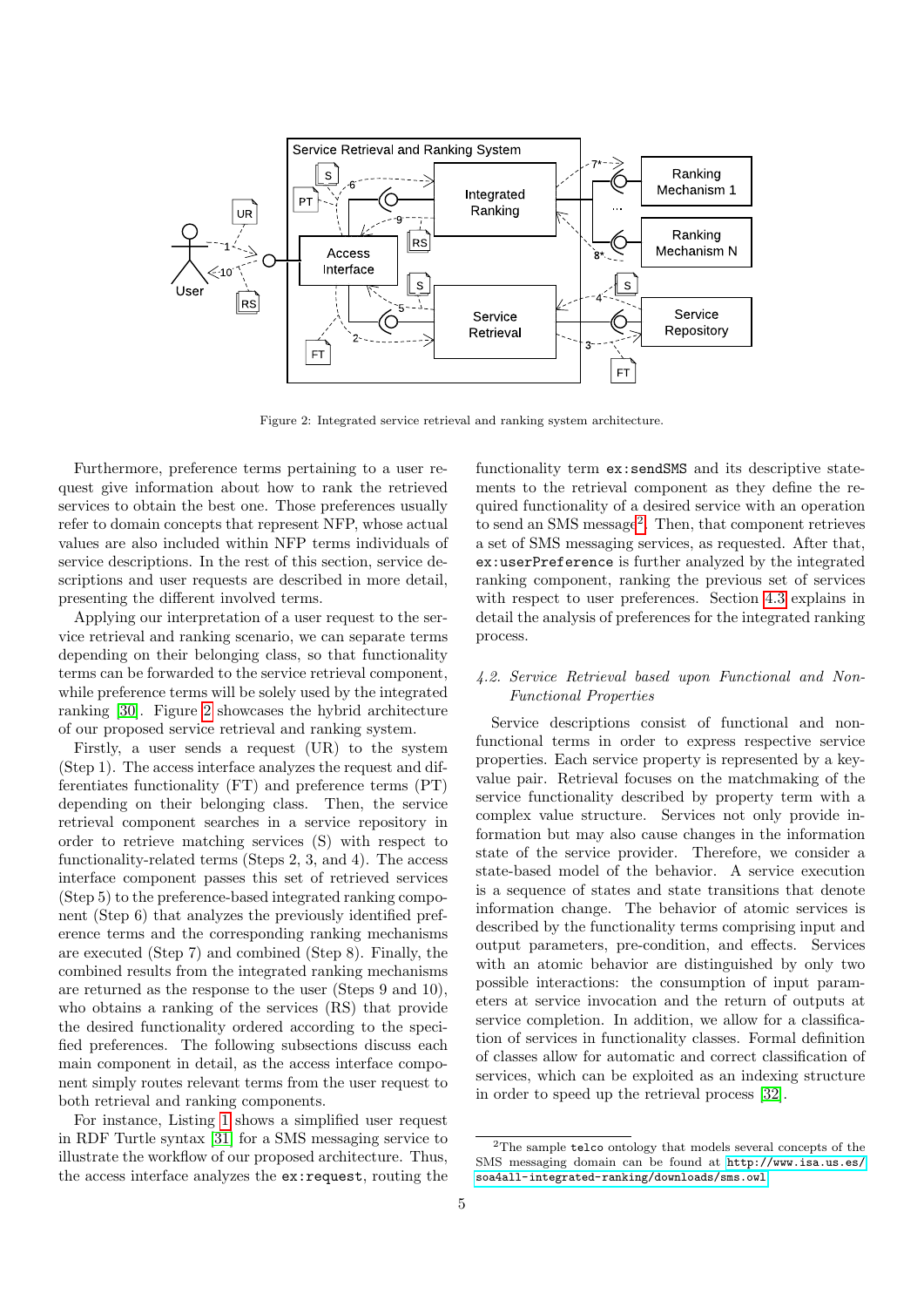

<span id="page-4-0"></span>Figure 2: Integrated service retrieval and ranking system architecture.

Furthermore, preference terms pertaining to a user request give information about how to rank the retrieved services to obtain the best one. Those preferences usually refer to domain concepts that represent NFP, whose actual values are also included within NFP terms individuals of service descriptions. In the rest of this section, service descriptions and user requests are described in more detail, presenting the different involved terms.

Applying our interpretation of a user request to the service retrieval and ranking scenario, we can separate terms depending on their belonging class, so that functionality terms can be forwarded to the service retrieval component, while preference terms will be solely used by the integrated ranking [\[30\]](#page-17-29). Figure [2](#page-4-0) showcases the hybrid architecture of our proposed service retrieval and ranking system.

Firstly, a user sends a request (UR) to the system (Step 1). The access interface analyzes the request and differentiates functionality (FT) and preference terms (PT) depending on their belonging class. Then, the service retrieval component searches in a service repository in order to retrieve matching services (S) with respect to functionality-related terms (Steps 2, 3, and 4). The access interface component passes this set of retrieved services (Step 5) to the preference-based integrated ranking component (Step 6) that analyzes the previously identified preference terms and the corresponding ranking mechanisms are executed (Step 7) and combined (Step 8). Finally, the combined results from the integrated ranking mechanisms are returned as the response to the user (Steps 9 and 10), who obtains a ranking of the services (RS) that provide the desired functionality ordered according to the specified preferences. The following subsections discuss each main component in detail, as the access interface component simply routes relevant terms from the user request to both retrieval and ranking components.

For instance, Listing [1](#page-5-0) shows a simplified user request in RDF Turtle syntax [\[31\]](#page-17-30) for a SMS messaging service to illustrate the workflow of our proposed architecture. Thus, the access interface analyzes the ex:request, routing the

functionality term ex:sendSMS and its descriptive statements to the retrieval component as they define the required functionality of a desired service with an operation to send an SMS message<sup>[2](#page-4-1)</sup>. Then, that component retrieves a set of SMS messaging services, as requested. After that, ex:userPreference is further analyzed by the integrated ranking component, ranking the previous set of services with respect to user preferences. Section [4.3](#page-5-1) explains in detail the analysis of preferences for the integrated ranking process.

# 4.2. Service Retrieval based upon Functional and Non-Functional Properties

Service descriptions consist of functional and nonfunctional terms in order to express respective service properties. Each service property is represented by a keyvalue pair. Retrieval focuses on the matchmaking of the service functionality described by property term with a complex value structure. Services not only provide information but may also cause changes in the information state of the service provider. Therefore, we consider a state-based model of the behavior. A service execution is a sequence of states and state transitions that denote information change. The behavior of atomic services is described by the functionality terms comprising input and output parameters, pre-condition, and effects. Services with an atomic behavior are distinguished by only two possible interactions: the consumption of input parameters at service invocation and the return of outputs at service completion. In addition, we allow for a classification of services in functionality classes. Formal definition of classes allow for automatic and correct classification of services, which can be exploited as an indexing structure in order to speed up the retrieval process [\[32\]](#page-17-31).

<span id="page-4-1"></span><sup>2</sup>The sample telco ontology that models several concepts of the SMS messaging domain can be found at [http://www.isa.us.es/](http://www.isa.us.es/soa4all-integrated-ranking/downloads/sms.owl) [soa4all-integrated-ranking/downloads/sms.owl](http://www.isa.us.es/soa4all-integrated-ranking/downloads/sms.owl)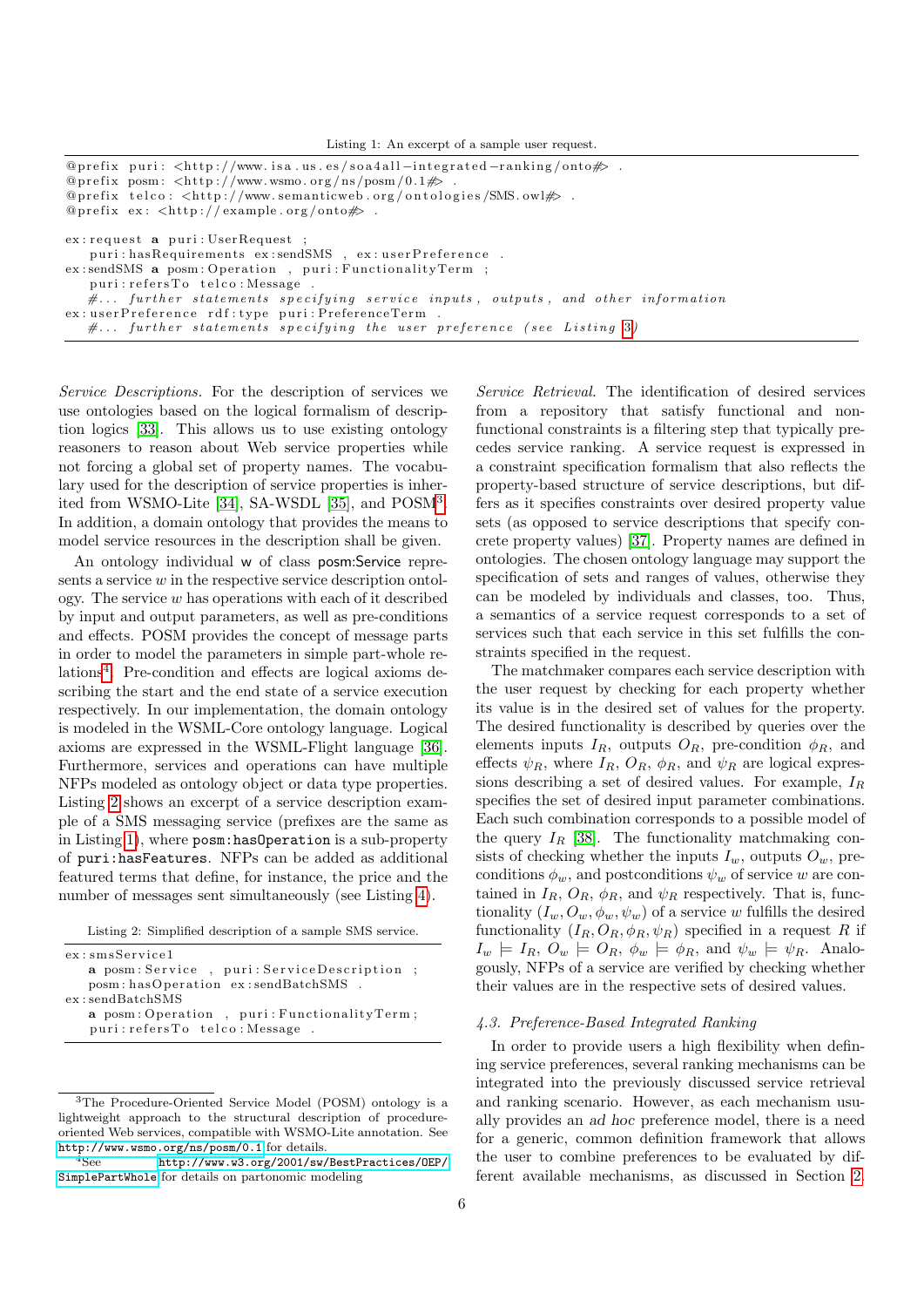```
Listing 1: An excerpt of a sample user request.
```

```
@ p r e fi x p u ri : <h t tp : / /www. i s a . us . e s / s o a 4 a ll −i n t e g r a t e d −r a n ki n g / onto#> .
@prefix\ posm: <http://www.wsmo.org/ns/posm/0.1#>@prefix telco: <http://www.semanticweb.org/ontologies/SMS.owl#>.
@prefix ex: <http://example.org/onto#&.
ex: request \ a \ puri: UserRequest \puri : hasRequirements ex : sendSMS , ex : userPreference .
ex: sendSMS a posm: Operation, puri: FunctionalityTerm;
   puri: refersTo telco: Message
   \#... further statements specifying service inputs, outputs, and other information
ex : userPreference rdf : type puri : PreferenceTerm
   \# \ldots3)
```
Service Descriptions. For the description of services we use ontologies based on the logical formalism of description logics [\[33\]](#page-17-32). This allows us to use existing ontology reasoners to reason about Web service properties while not forcing a global set of property names. The vocabulary used for the description of service properties is inher-ited from WSMO-Lite [\[34\]](#page-17-33), SA-WSDL [\[35\]](#page-18-0), and POSM<sup>[3](#page-5-2)</sup>. In addition, a domain ontology that provides the means to model service resources in the description shall be given.

An ontology individual w of class posm:Service represents a service w in the respective service description ontology. The service  $w$  has operations with each of it described by input and output parameters, as well as pre-conditions and effects. POSM provides the concept of message parts in order to model the parameters in simple part-whole re-lations<sup>[4](#page-5-3)</sup>. Pre-condition and effects are logical axioms describing the start and the end state of a service execution respectively. In our implementation, the domain ontology is modeled in the WSML-Core ontology language. Logical axioms are expressed in the WSML-Flight language [\[36\]](#page-18-1). Furthermore, services and operations can have multiple NFPs modeled as ontology object or data type properties. Listing [2](#page-5-4) shows an excerpt of a service description example of a SMS messaging service (prefixes are the same as in Listing [1\)](#page-5-0), where posm:hasOperation is a sub-property of puri:hasFeatures. NFPs can be added as additional featured terms that define, for instance, the price and the number of messages sent simultaneously (see Listing [4\)](#page-13-1).

<span id="page-5-4"></span>Listing 2: Simplified description of a sample SMS service.

| ex:smsService1                               |
|----------------------------------------------|
| a posm: Service, puri: ServiceDescription;   |
| posm: hasOperation ex: sendBatchSMS.         |
| ex: sendBatchSMS                             |
| a posm: Operation, puri: Functionality Term; |
| puri: refersTo telco: Message                |

<span id="page-5-2"></span><sup>3</sup>The Procedure-Oriented Service Model (POSM) ontology is a lightweight approach to the structural description of procedureoriented Web services, compatible with WSMO-Lite annotation. See <http://www.wsmo.org/ns/posm/0.1> for details.<br><sup>4</sup>See http://www.w3.org/2001/sw/

Service Retrieval. The identification of desired services from a repository that satisfy functional and nonfunctional constraints is a filtering step that typically precedes service ranking. A service request is expressed in a constraint specification formalism that also reflects the property-based structure of service descriptions, but differs as it specifies constraints over desired property value sets (as opposed to service descriptions that specify concrete property values) [\[37\]](#page-18-2). Property names are defined in ontologies. The chosen ontology language may support the specification of sets and ranges of values, otherwise they can be modeled by individuals and classes, too. Thus, a semantics of a service request corresponds to a set of services such that each service in this set fulfills the constraints specified in the request.

The matchmaker compares each service description with the user request by checking for each property whether its value is in the desired set of values for the property. The desired functionality is described by queries over the elements inputs  $I_R$ , outputs  $O_R$ , pre-condition  $\phi_R$ , and effects  $\psi_R$ , where  $I_R$ ,  $O_R$ ,  $\phi_R$ , and  $\psi_R$  are logical expressions describing a set of desired values. For example,  $I_R$ specifies the set of desired input parameter combinations. Each such combination corresponds to a possible model of the query  $I_R$  [\[38\]](#page-18-3). The functionality matchmaking consists of checking whether the inputs  $I_w$ , outputs  $O_w$ , preconditions  $\phi_w$ , and postconditions  $\psi_w$  of service w are contained in  $I_R$ ,  $O_R$ ,  $\phi_R$ , and  $\psi_R$  respectively. That is, functionality  $(I_w, O_w, \phi_w, \psi_w)$  of a service w fulfills the desired functionality  $(I_R, O_R, \phi_R, \psi_R)$  specified in a request R if  $I_w \models I_R, O_w \models O_R, \phi_w \models \phi_R$ , and  $\psi_w \models \psi_R$ . Analogously, NFPs of a service are verified by checking whether their values are in the respective sets of desired values.

#### <span id="page-5-1"></span>4.3. Preference-Based Integrated Ranking

In order to provide users a high flexibility when defining service preferences, several ranking mechanisms can be integrated into the previously discussed service retrieval and ranking scenario. However, as each mechanism usually provides an ad hoc preference model, there is a need for a generic, common definition framework that allows the user to combine preferences to be evaluated by different available mechanisms, as discussed in Section [2.](#page-1-1)

<span id="page-5-3"></span>[http://www.w3.org/2001/sw/BestPractices/OEP/](http://www.w3.org/2001/sw/BestPractices/OEP/SimplePartWhole) [SimplePartWhole](http://www.w3.org/2001/sw/BestPractices/OEP/SimplePartWhole) for details on partonomic modeling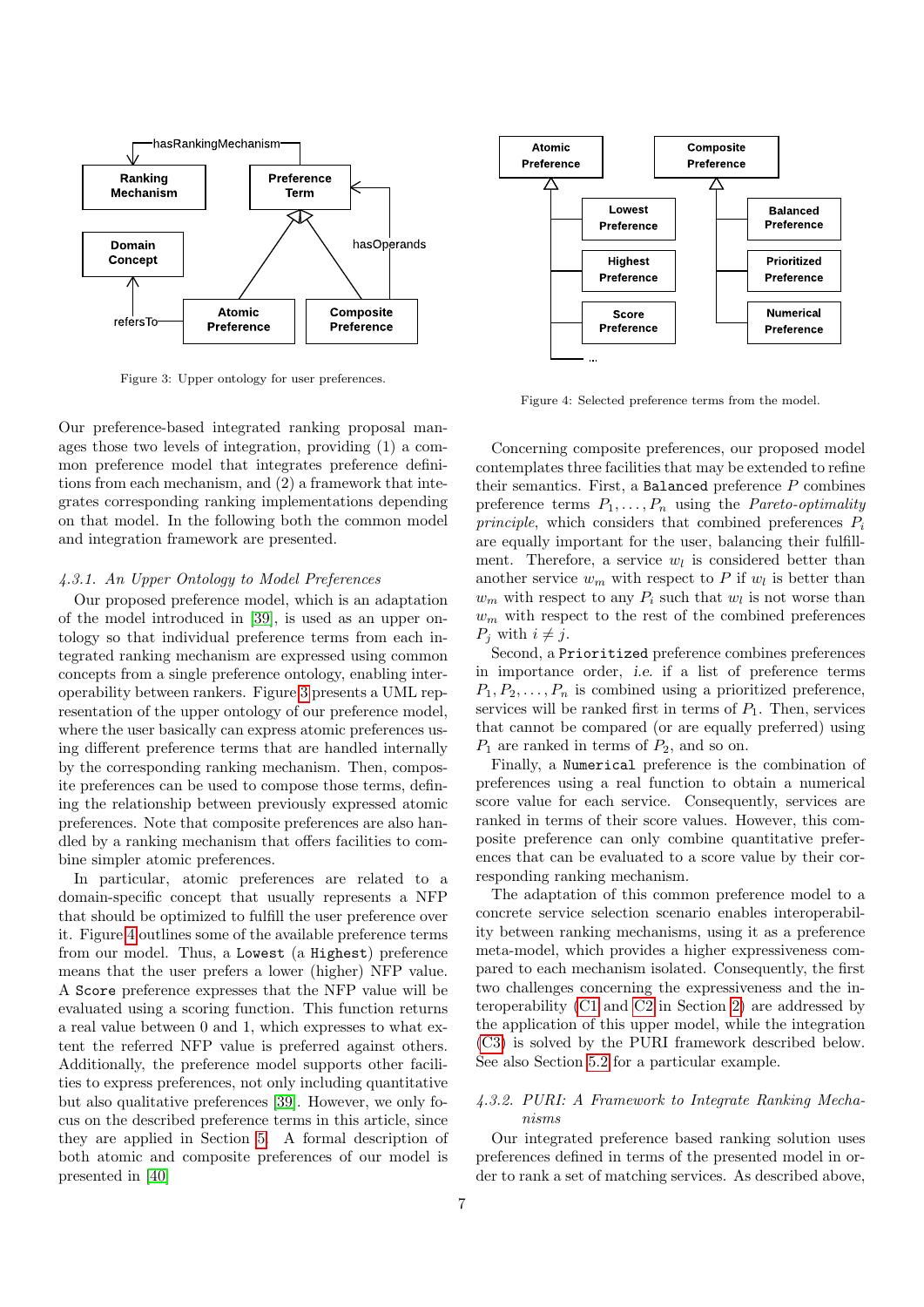

<span id="page-6-0"></span>Figure 3: Upper ontology for user preferences.

Our preference-based integrated ranking proposal manages those two levels of integration, providing (1) a common preference model that integrates preference definitions from each mechanism, and (2) a framework that integrates corresponding ranking implementations depending on that model. In the following both the common model and integration framework are presented.

#### <span id="page-6-2"></span>4.3.1. An Upper Ontology to Model Preferences

Our proposed preference model, which is an adaptation of the model introduced in [\[39\]](#page-18-4), is used as an upper ontology so that individual preference terms from each integrated ranking mechanism are expressed using common concepts from a single preference ontology, enabling interoperability between rankers. Figure [3](#page-6-0) presents a UML representation of the upper ontology of our preference model, where the user basically can express atomic preferences using different preference terms that are handled internally by the corresponding ranking mechanism. Then, composite preferences can be used to compose those terms, defining the relationship between previously expressed atomic preferences. Note that composite preferences are also handled by a ranking mechanism that offers facilities to combine simpler atomic preferences.

In particular, atomic preferences are related to a domain-specific concept that usually represents a NFP that should be optimized to fulfill the user preference over it. Figure [4](#page-6-1) outlines some of the available preference terms from our model. Thus, a Lowest (a Highest) preference means that the user prefers a lower (higher) NFP value. A Score preference expresses that the NFP value will be evaluated using a scoring function. This function returns a real value between 0 and 1, which expresses to what extent the referred NFP value is preferred against others. Additionally, the preference model supports other facilities to express preferences, not only including quantitative but also qualitative preferences [\[39\]](#page-18-4). However, we only focus on the described preference terms in this article, since they are applied in Section [5.](#page-8-0) A formal description of both atomic and composite preferences of our model is presented in [\[40\]](#page-18-5)



<span id="page-6-1"></span>Figure 4: Selected preference terms from the model.

Concerning composite preferences, our proposed model contemplates three facilities that may be extended to refine their semantics. First, a Balanced preference P combines preference terms  $P_1, \ldots, P_n$  using the *Pareto-optimality* principle, which considers that combined preferences  $P_i$ are equally important for the user, balancing their fulfillment. Therefore, a service  $w_l$  is considered better than another service  $w_m$  with respect to P if  $w_l$  is better than  $w_m$  with respect to any  $P_i$  such that  $w_l$  is not worse than  $w_m$  with respect to the rest of the combined preferences  $P_j$  with  $i \neq j$ .

Second, a Prioritized preference combines preferences in importance order, i.e. if a list of preference terms  $P_1, P_2, \ldots, P_n$  is combined using a prioritized preference, services will be ranked first in terms of  $P_1$ . Then, services that cannot be compared (or are equally preferred) using  $P_1$  are ranked in terms of  $P_2$ , and so on.

Finally, a Numerical preference is the combination of preferences using a real function to obtain a numerical score value for each service. Consequently, services are ranked in terms of their score values. However, this composite preference can only combine quantitative preferences that can be evaluated to a score value by their corresponding ranking mechanism.

The adaptation of this common preference model to a concrete service selection scenario enables interoperability between ranking mechanisms, using it as a preference meta-model, which provides a higher expressiveness compared to each mechanism isolated. Consequently, the first two challenges concerning the expressiveness and the interoperability [\(C1](#page-2-1) and [C2](#page-2-2) in Section [2\)](#page-1-1) are addressed by the application of this upper model, while the integration [\(C3\)](#page-2-3) is solved by the PURI framework described below. See also Section [5.2](#page-12-0) for a particular example.

# <span id="page-6-3"></span>4.3.2. PURI: A Framework to Integrate Ranking Mechanisms

Our integrated preference based ranking solution uses preferences defined in terms of the presented model in order to rank a set of matching services. As described above,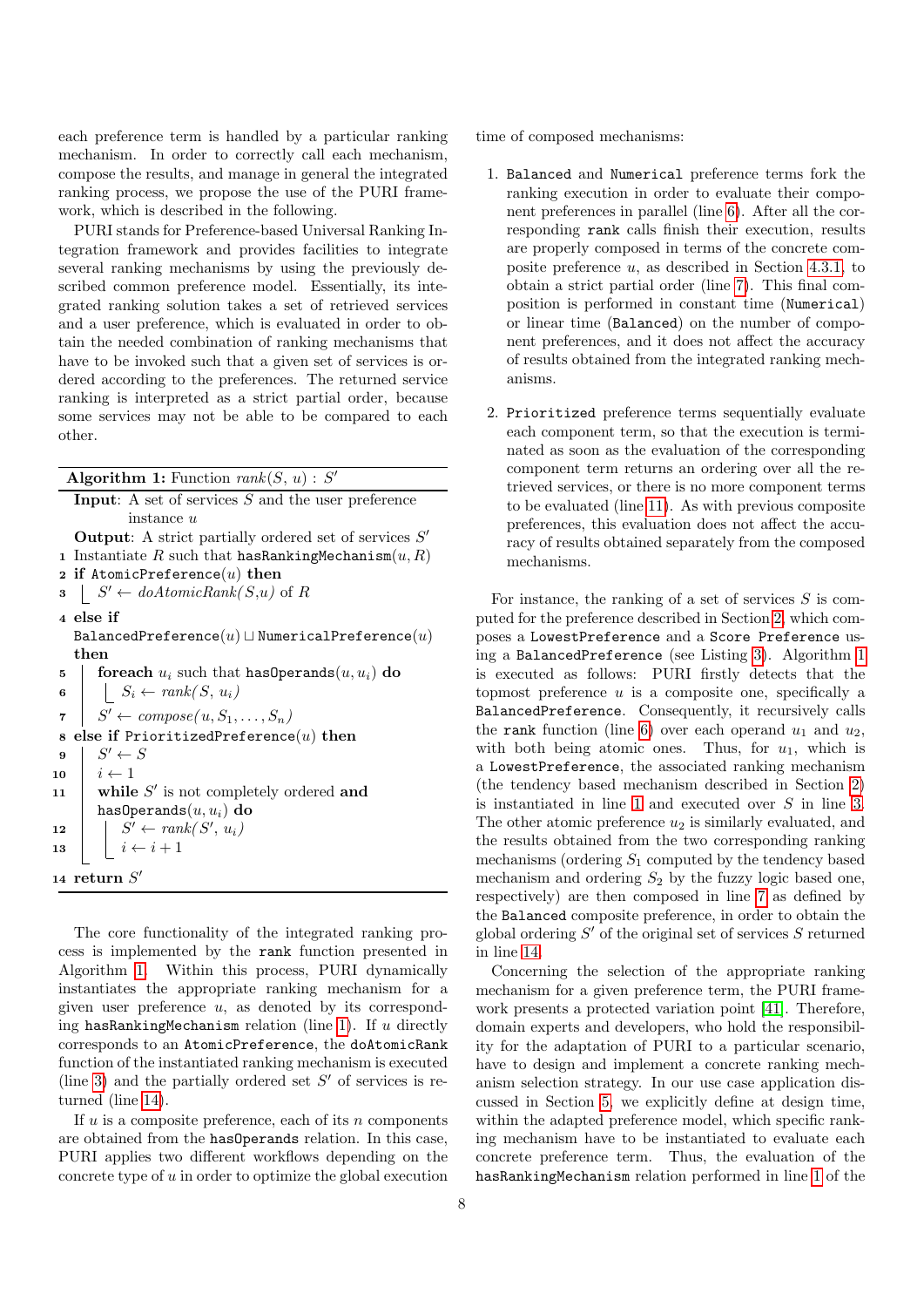each preference term is handled by a particular ranking mechanism. In order to correctly call each mechanism, compose the results, and manage in general the integrated ranking process, we propose the use of the PURI framework, which is described in the following.

PURI stands for Preference-based Universal Ranking Integration framework and provides facilities to integrate several ranking mechanisms by using the previously described common preference model. Essentially, its integrated ranking solution takes a set of retrieved services and a user preference, which is evaluated in order to obtain the needed combination of ranking mechanisms that have to be invoked such that a given set of services is ordered according to the preferences. The returned service ranking is interpreted as a strict partial order, because some services may not be able to be compared to each other.

<span id="page-7-4"></span><span id="page-7-2"></span><span id="page-7-1"></span><span id="page-7-0"></span>

| <b>Algorithm 1:</b> Function $rank(S, u) : S'$                                              |
|---------------------------------------------------------------------------------------------|
| <b>Input:</b> A set of services $S$ and the user preference                                 |
| instance $u$                                                                                |
| <b>Output:</b> A strict partially ordered set of services $S'$                              |
| Instantiate R such that has Ranking Mechanism $(u, R)$<br>$\mathbf{1}$                      |
| 2 if AtomicPreference $(u)$ then                                                            |
| $\vert S' \leftarrow \text{doAtomicRank}(S, u) \text{ of } R$<br>3                          |
| 4 else if                                                                                   |
| $\texttt{BalancedPreference}(u) \sqcup \texttt{NumericalPreference}(u)$                     |
| then                                                                                        |
| for each $u_i$ such that has Operands $(u, u_i)$ do<br>5                                    |
| $S_i \leftarrow rank(S, u_i)$<br>6                                                          |
| $S' \leftarrow \textit{composite}(u, S_1, \ldots, S_n)$<br>7                                |
| else if PrioritizedPreference $(u)$ then<br>8                                               |
| $S' \leftarrow S$<br>9                                                                      |
| $i \leftarrow 1$<br>10                                                                      |
| while $S'$ is not completely ordered and<br>11                                              |
| has0perands $(u, u_i)$ do                                                                   |
| 12                                                                                          |
| $\begin{array}{c} S' \leftarrow \text{rank}(S', u_i) \\ i \leftarrow i+1 \end{array}$<br>13 |
| $14\,$ return $S'$                                                                          |
|                                                                                             |

<span id="page-7-6"></span><span id="page-7-5"></span><span id="page-7-3"></span>The core functionality of the integrated ranking process is implemented by the rank function presented in Algorithm [1.](#page-7-0) Within this process, PURI dynamically instantiates the appropriate ranking mechanism for a given user preference  $u$ , as denoted by its correspond-ing hasRankingMechanism relation (line [1\)](#page-7-1). If  $u$  directly corresponds to an AtomicPreference, the doAtomicRank function of the instantiated ranking mechanism is executed (line [3\)](#page-7-2) and the partially ordered set  $S'$  of services is returned (line [14\)](#page-7-3).

If  $u$  is a composite preference, each of its  $n$  components are obtained from the hasOperands relation. In this case, PURI applies two different workflows depending on the concrete type of  $u$  in order to optimize the global execution

time of composed mechanisms:

- 1. Balanced and Numerical preference terms fork the ranking execution in order to evaluate their component preferences in parallel (line [6\)](#page-7-4). After all the corresponding rank calls finish their execution, results are properly composed in terms of the concrete composite preference u, as described in Section [4.3.1,](#page-6-2) to obtain a strict partial order (line [7\)](#page-7-5). This final composition is performed in constant time (Numerical) or linear time (Balanced) on the number of component preferences, and it does not affect the accuracy of results obtained from the integrated ranking mechanisms.
- 2. Prioritized preference terms sequentially evaluate each component term, so that the execution is terminated as soon as the evaluation of the corresponding component term returns an ordering over all the retrieved services, or there is no more component terms to be evaluated (line [11\)](#page-7-6). As with previous composite preferences, this evaluation does not affect the accuracy of results obtained separately from the composed mechanisms.

For instance, the ranking of a set of services  $S$  is computed for the preference described in Section [2,](#page-1-1) which composes a LowestPreference and a Score Preference using a BalancedPreference (see Listing [3\)](#page-13-0). Algorithm [1](#page-7-0) is executed as follows: PURI firstly detects that the topmost preference  $u$  is a composite one, specifically a BalancedPreference. Consequently, it recursively calls the rank function (line [6\)](#page-7-4) over each operand  $u_1$  and  $u_2$ , with both being atomic ones. Thus, for  $u_1$ , which is a LowestPreference, the associated ranking mechanism (the tendency based mechanism described in Section [2\)](#page-1-1) is instantiated in line [1](#page-7-1) and executed over S in line [3.](#page-7-2) The other atomic preference  $u_2$  is similarly evaluated, and the results obtained from the two corresponding ranking mechanisms (ordering  $S_1$  computed by the tendency based mechanism and ordering  $S_2$  by the fuzzy logic based one, respectively) are then composed in line [7](#page-7-5) as defined by the Balanced composite preference, in order to obtain the global ordering  $S'$  of the original set of services  $S$  returned in line [14.](#page-7-3)

Concerning the selection of the appropriate ranking mechanism for a given preference term, the PURI framework presents a protected variation point [\[41\]](#page-18-6). Therefore, domain experts and developers, who hold the responsibility for the adaptation of PURI to a particular scenario, have to design and implement a concrete ranking mechanism selection strategy. In our use case application discussed in Section [5,](#page-8-0) we explicitly define at design time, within the adapted preference model, which specific ranking mechanism have to be instantiated to evaluate each concrete preference term. Thus, the evaluation of the hasRankingMechanism relation performed in line [1](#page-7-1) of the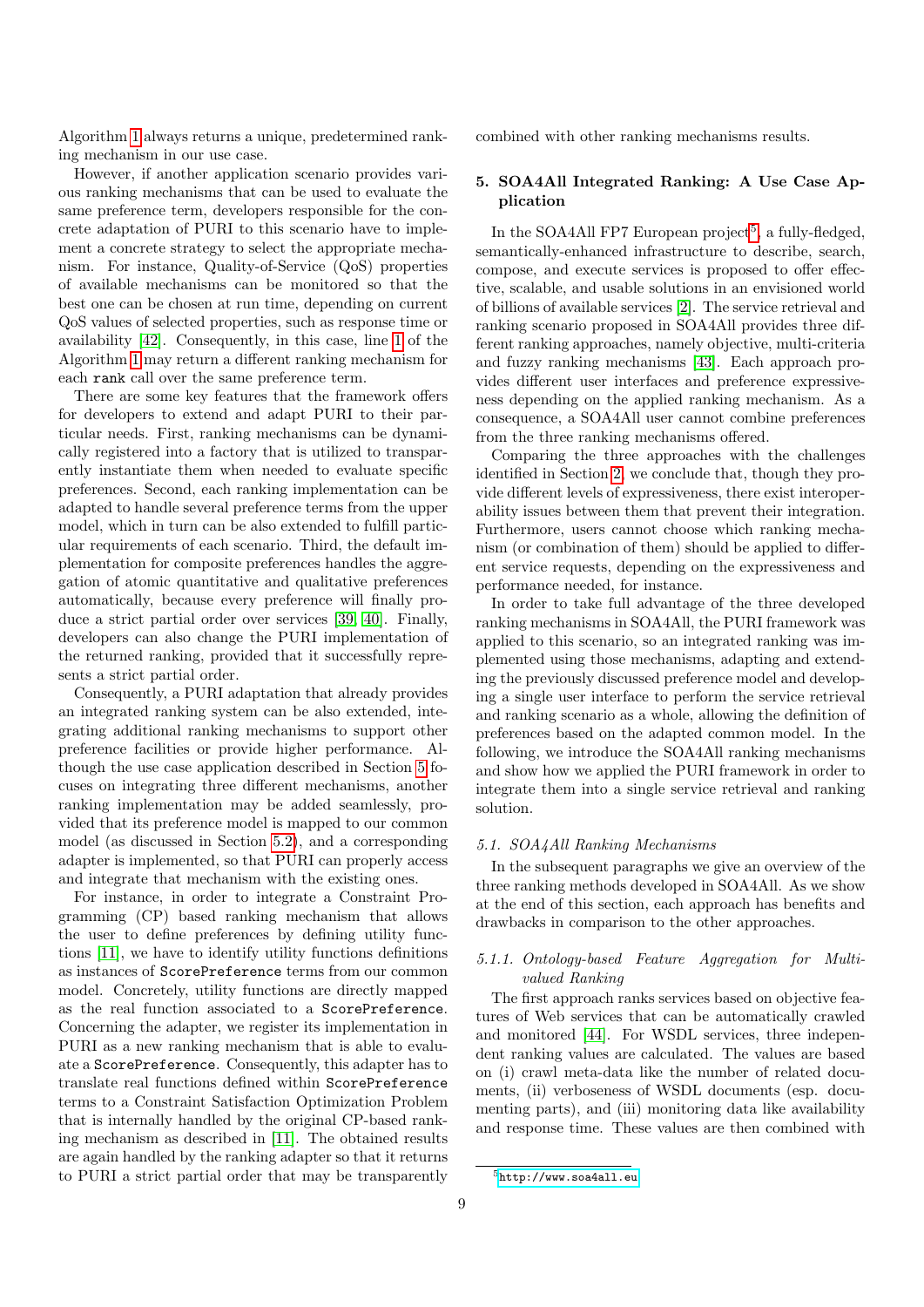Algorithm [1](#page-7-0) always returns a unique, predetermined ranking mechanism in our use case.

However, if another application scenario provides various ranking mechanisms that can be used to evaluate the same preference term, developers responsible for the concrete adaptation of PURI to this scenario have to implement a concrete strategy to select the appropriate mechanism. For instance, Quality-of-Service (QoS) properties of available mechanisms can be monitored so that the best one can be chosen at run time, depending on current QoS values of selected properties, such as response time or availability [\[42\]](#page-18-7). Consequently, in this case, line [1](#page-7-1) of the Algorithm [1](#page-7-0) may return a different ranking mechanism for each rank call over the same preference term.

There are some key features that the framework offers for developers to extend and adapt PURI to their particular needs. First, ranking mechanisms can be dynamically registered into a factory that is utilized to transparently instantiate them when needed to evaluate specific preferences. Second, each ranking implementation can be adapted to handle several preference terms from the upper model, which in turn can be also extended to fulfill particular requirements of each scenario. Third, the default implementation for composite preferences handles the aggregation of atomic quantitative and qualitative preferences automatically, because every preference will finally produce a strict partial order over services [\[39,](#page-18-4) [40\]](#page-18-5). Finally, developers can also change the PURI implementation of the returned ranking, provided that it successfully represents a strict partial order.

Consequently, a PURI adaptation that already provides an integrated ranking system can be also extended, integrating additional ranking mechanisms to support other preference facilities or provide higher performance. Although the use case application described in Section [5](#page-8-0) focuses on integrating three different mechanisms, another ranking implementation may be added seamlessly, provided that its preference model is mapped to our common model (as discussed in Section [5.2\)](#page-12-0), and a corresponding adapter is implemented, so that PURI can properly access and integrate that mechanism with the existing ones.

For instance, in order to integrate a Constraint Programming (CP) based ranking mechanism that allows the user to define preferences by defining utility functions [\[11\]](#page-17-10), we have to identify utility functions definitions as instances of ScorePreference terms from our common model. Concretely, utility functions are directly mapped as the real function associated to a ScorePreference. Concerning the adapter, we register its implementation in PURI as a new ranking mechanism that is able to evaluate a ScorePreference. Consequently, this adapter has to translate real functions defined within ScorePreference terms to a Constraint Satisfaction Optimization Problem that is internally handled by the original CP-based ranking mechanism as described in [\[11\]](#page-17-10). The obtained results are again handled by the ranking adapter so that it returns to PURI a strict partial order that may be transparently

combined with other ranking mechanisms results.

# <span id="page-8-0"></span>5. SOA4All Integrated Ranking: A Use Case Application

In the SOA4All FP7 European project<sup>[5](#page-8-1)</sup>, a fully-fledged, semantically-enhanced infrastructure to describe, search, compose, and execute services is proposed to offer effective, scalable, and usable solutions in an envisioned world of billions of available services [\[2\]](#page-17-1). The service retrieval and ranking scenario proposed in SOA4All provides three different ranking approaches, namely objective, multi-criteria and fuzzy ranking mechanisms [\[43\]](#page-18-8). Each approach provides different user interfaces and preference expressiveness depending on the applied ranking mechanism. As a consequence, a SOA4All user cannot combine preferences from the three ranking mechanisms offered.

Comparing the three approaches with the challenges identified in Section [2,](#page-1-1) we conclude that, though they provide different levels of expressiveness, there exist interoperability issues between them that prevent their integration. Furthermore, users cannot choose which ranking mechanism (or combination of them) should be applied to different service requests, depending on the expressiveness and performance needed, for instance.

In order to take full advantage of the three developed ranking mechanisms in SOA4All, the PURI framework was applied to this scenario, so an integrated ranking was implemented using those mechanisms, adapting and extending the previously discussed preference model and developing a single user interface to perform the service retrieval and ranking scenario as a whole, allowing the definition of preferences based on the adapted common model. In the following, we introduce the SOA4All ranking mechanisms and show how we applied the PURI framework in order to integrate them into a single service retrieval and ranking solution.

#### <span id="page-8-2"></span>5.1. SOA4All Ranking Mechanisms

In the subsequent paragraphs we give an overview of the three ranking methods developed in SOA4All. As we show at the end of this section, each approach has benefits and drawbacks in comparison to the other approaches.

# 5.1.1. Ontology-based Feature Aggregation for Multivalued Ranking

The first approach ranks services based on objective features of Web services that can be automatically crawled and monitored [\[44\]](#page-18-9). For WSDL services, three independent ranking values are calculated. The values are based on (i) crawl meta-data like the number of related documents, (ii) verboseness of WSDL documents (esp. documenting parts), and (iii) monitoring data like availability and response time. These values are then combined with

<span id="page-8-1"></span><sup>5</sup><http://www.soa4all.eu>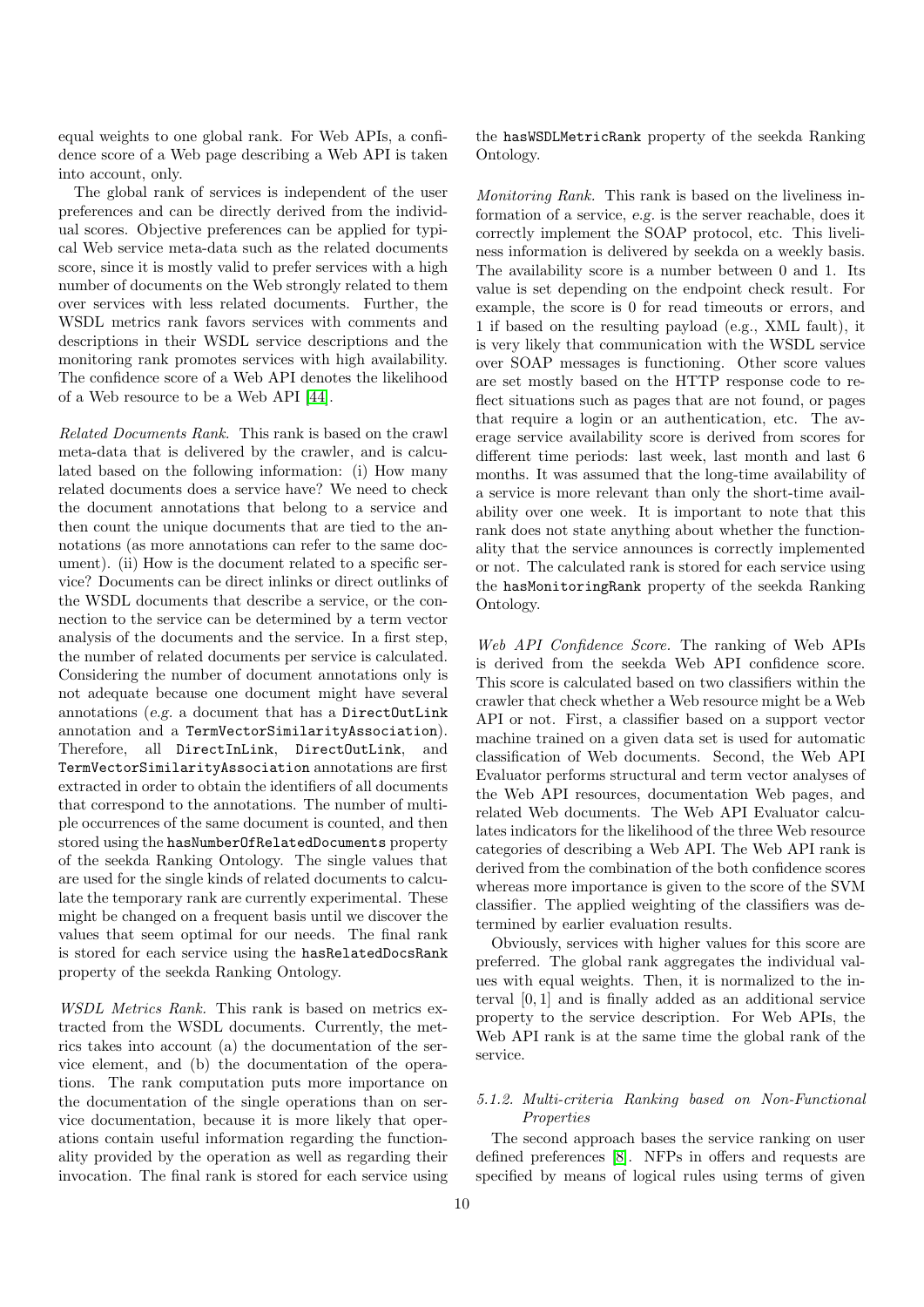equal weights to one global rank. For Web APIs, a confidence score of a Web page describing a Web API is taken into account, only.

The global rank of services is independent of the user preferences and can be directly derived from the individual scores. Objective preferences can be applied for typical Web service meta-data such as the related documents score, since it is mostly valid to prefer services with a high number of documents on the Web strongly related to them over services with less related documents. Further, the WSDL metrics rank favors services with comments and descriptions in their WSDL service descriptions and the monitoring rank promotes services with high availability. The confidence score of a Web API denotes the likelihood of a Web resource to be a Web API [\[44\]](#page-18-9).

Related Documents Rank. This rank is based on the crawl meta-data that is delivered by the crawler, and is calculated based on the following information: (i) How many related documents does a service have? We need to check the document annotations that belong to a service and then count the unique documents that are tied to the annotations (as more annotations can refer to the same document). (ii) How is the document related to a specific service? Documents can be direct inlinks or direct outlinks of the WSDL documents that describe a service, or the connection to the service can be determined by a term vector analysis of the documents and the service. In a first step, the number of related documents per service is calculated. Considering the number of document annotations only is not adequate because one document might have several annotations (e.g. a document that has a DirectOutLink annotation and a TermVectorSimilarityAssociation). Therefore, all DirectInLink, DirectOutLink, and TermVectorSimilarityAssociation annotations are first extracted in order to obtain the identifiers of all documents that correspond to the annotations. The number of multiple occurrences of the same document is counted, and then stored using the hasNumberOfRelatedDocuments property of the seekda Ranking Ontology. The single values that are used for the single kinds of related documents to calculate the temporary rank are currently experimental. These might be changed on a frequent basis until we discover the values that seem optimal for our needs. The final rank is stored for each service using the hasRelatedDocsRank property of the seekda Ranking Ontology.

WSDL Metrics Rank. This rank is based on metrics extracted from the WSDL documents. Currently, the metrics takes into account (a) the documentation of the service element, and (b) the documentation of the operations. The rank computation puts more importance on the documentation of the single operations than on service documentation, because it is more likely that operations contain useful information regarding the functionality provided by the operation as well as regarding their invocation. The final rank is stored for each service using the hasWSDLMetricRank property of the seekda Ranking Ontology.

Monitoring Rank. This rank is based on the liveliness information of a service, e.g. is the server reachable, does it correctly implement the SOAP protocol, etc. This liveliness information is delivered by seekda on a weekly basis. The availability score is a number between 0 and 1. Its value is set depending on the endpoint check result. For example, the score is 0 for read timeouts or errors, and 1 if based on the resulting payload (e.g., XML fault), it is very likely that communication with the WSDL service over SOAP messages is functioning. Other score values are set mostly based on the HTTP response code to reflect situations such as pages that are not found, or pages that require a login or an authentication, etc. The average service availability score is derived from scores for different time periods: last week, last month and last 6 months. It was assumed that the long-time availability of a service is more relevant than only the short-time availability over one week. It is important to note that this rank does not state anything about whether the functionality that the service announces is correctly implemented or not. The calculated rank is stored for each service using the hasMonitoringRank property of the seekda Ranking Ontology.

Web API Confidence Score. The ranking of Web APIs is derived from the seekda Web API confidence score. This score is calculated based on two classifiers within the crawler that check whether a Web resource might be a Web API or not. First, a classifier based on a support vector machine trained on a given data set is used for automatic classification of Web documents. Second, the Web API Evaluator performs structural and term vector analyses of the Web API resources, documentation Web pages, and related Web documents. The Web API Evaluator calculates indicators for the likelihood of the three Web resource categories of describing a Web API. The Web API rank is derived from the combination of the both confidence scores whereas more importance is given to the score of the SVM classifier. The applied weighting of the classifiers was determined by earlier evaluation results.

Obviously, services with higher values for this score are preferred. The global rank aggregates the individual values with equal weights. Then, it is normalized to the interval [0, 1] and is finally added as an additional service property to the service description. For Web APIs, the Web API rank is at the same time the global rank of the service.

# 5.1.2. Multi-criteria Ranking based on Non-Functional Properties

The second approach bases the service ranking on user defined preferences [\[8\]](#page-17-7). NFPs in offers and requests are specified by means of logical rules using terms of given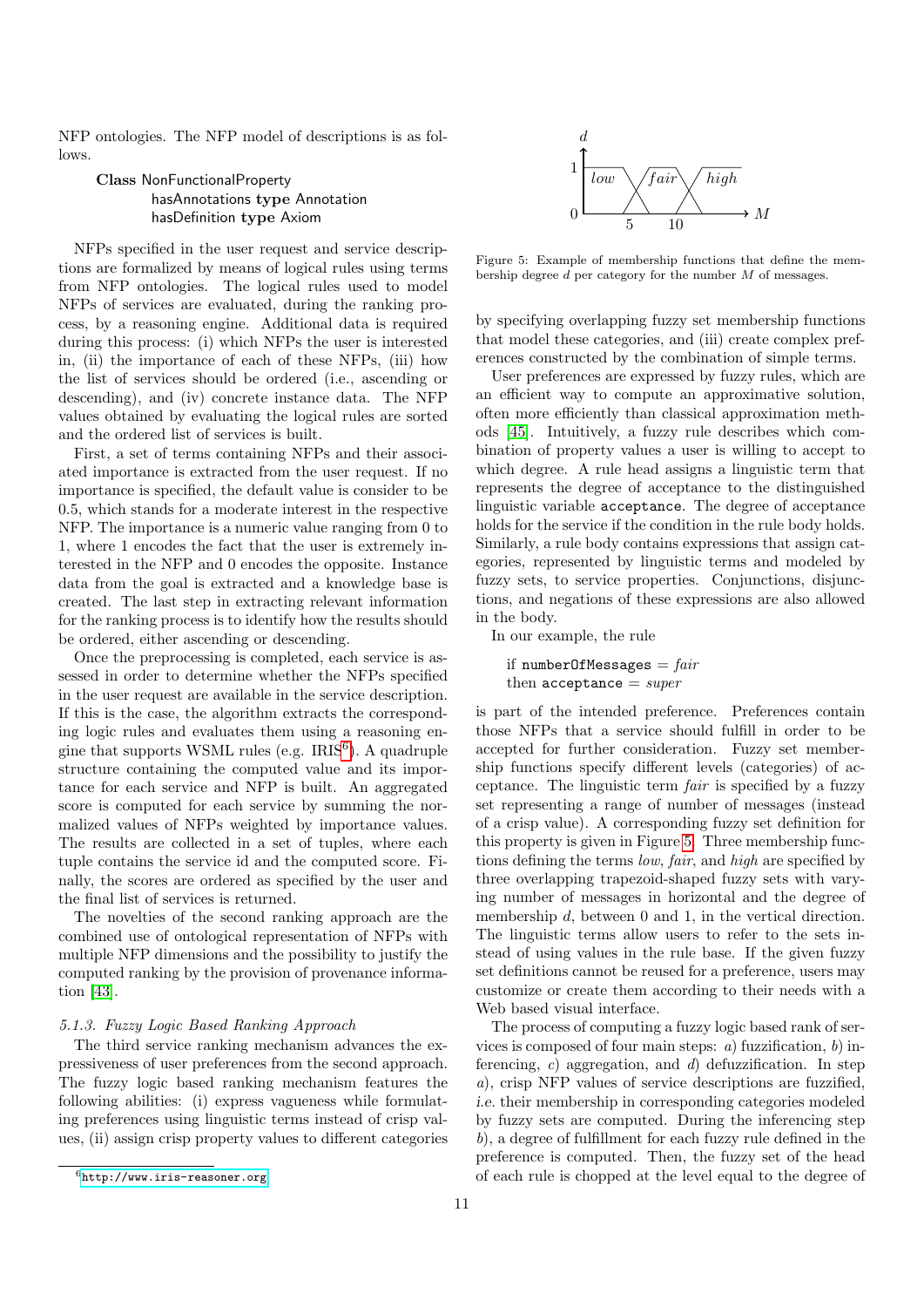NFP ontologies. The NFP model of descriptions is as follows.

# Class NonFunctionalProperty hasAnnotations type Annotation hasDefinition type Axiom

NFPs specified in the user request and service descriptions are formalized by means of logical rules using terms from NFP ontologies. The logical rules used to model NFPs of services are evaluated, during the ranking process, by a reasoning engine. Additional data is required during this process: (i) which NFPs the user is interested in, (ii) the importance of each of these NFPs, (iii) how the list of services should be ordered (i.e., ascending or descending), and (iv) concrete instance data. The NFP values obtained by evaluating the logical rules are sorted and the ordered list of services is built.

First, a set of terms containing NFPs and their associated importance is extracted from the user request. If no importance is specified, the default value is consider to be 0.5, which stands for a moderate interest in the respective NFP. The importance is a numeric value ranging from 0 to 1, where 1 encodes the fact that the user is extremely interested in the NFP and 0 encodes the opposite. Instance data from the goal is extracted and a knowledge base is created. The last step in extracting relevant information for the ranking process is to identify how the results should be ordered, either ascending or descending.

Once the preprocessing is completed, each service is assessed in order to determine whether the NFPs specified in the user request are available in the service description. If this is the case, the algorithm extracts the corresponding logic rules and evaluates them using a reasoning en-gine that supports WSML rules (e.g. IRIS<sup>[6](#page-10-0)</sup>). A quadruple structure containing the computed value and its importance for each service and NFP is built. An aggregated score is computed for each service by summing the normalized values of NFPs weighted by importance values. The results are collected in a set of tuples, where each tuple contains the service id and the computed score. Finally, the scores are ordered as specified by the user and the final list of services is returned.

The novelties of the second ranking approach are the combined use of ontological representation of NFPs with multiple NFP dimensions and the possibility to justify the computed ranking by the provision of provenance information [\[43\]](#page-18-8).

#### 5.1.3. Fuzzy Logic Based Ranking Approach

The third service ranking mechanism advances the expressiveness of user preferences from the second approach. The fuzzy logic based ranking mechanism features the following abilities: (i) express vagueness while formulating preferences using linguistic terms instead of crisp values, (ii) assign crisp property values to different categories



<span id="page-10-1"></span>Figure 5: Example of membership functions that define the membership degree  $d$  per category for the number  $M$  of messages.

by specifying overlapping fuzzy set membership functions that model these categories, and (iii) create complex preferences constructed by the combination of simple terms.

User preferences are expressed by fuzzy rules, which are an efficient way to compute an approximative solution, often more efficiently than classical approximation methods [\[45\]](#page-18-10). Intuitively, a fuzzy rule describes which combination of property values a user is willing to accept to which degree. A rule head assigns a linguistic term that represents the degree of acceptance to the distinguished linguistic variable acceptance. The degree of acceptance holds for the service if the condition in the rule body holds. Similarly, a rule body contains expressions that assign categories, represented by linguistic terms and modeled by fuzzy sets, to service properties. Conjunctions, disjunctions, and negations of these expressions are also allowed in the body.

In our example, the rule

if numberOfMessages  $=$   $fair$ then acceptance  $= super$ 

is part of the intended preference. Preferences contain those NFPs that a service should fulfill in order to be accepted for further consideration. Fuzzy set membership functions specify different levels (categories) of acceptance. The linguistic term fair is specified by a fuzzy set representing a range of number of messages (instead of a crisp value). A corresponding fuzzy set definition for this property is given in Figure [5.](#page-10-1) Three membership functions defining the terms low, fair, and high are specified by three overlapping trapezoid-shaped fuzzy sets with varying number of messages in horizontal and the degree of membership d, between 0 and 1, in the vertical direction. The linguistic terms allow users to refer to the sets instead of using values in the rule base. If the given fuzzy set definitions cannot be reused for a preference, users may customize or create them according to their needs with a Web based visual interface.

The process of computing a fuzzy logic based rank of services is composed of four main steps:  $a)$  fuzzification,  $b)$  inferencing, c) aggregation, and  $d$ ) defuzzification. In step a), crisp NFP values of service descriptions are fuzzified, i.e. their membership in corresponding categories modeled by fuzzy sets are computed. During the inferencing step b), a degree of fulfillment for each fuzzy rule defined in the preference is computed. Then, the fuzzy set of the head of each rule is chopped at the level equal to the degree of

<span id="page-10-0"></span> $6$ <http://www.iris-reasoner.org>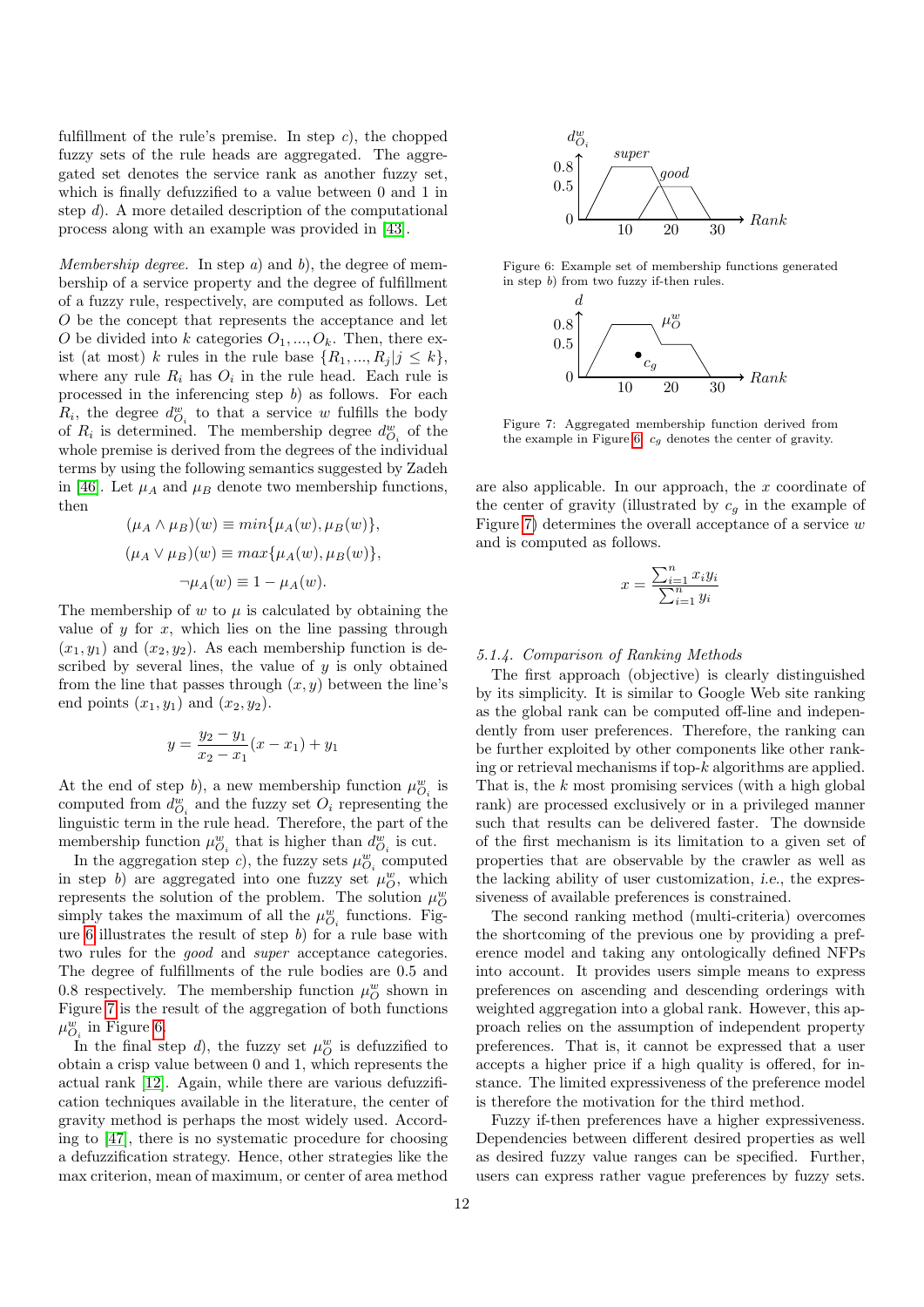fulfillment of the rule's premise. In step  $c$ , the chopped fuzzy sets of the rule heads are aggregated. The aggregated set denotes the service rank as another fuzzy set, which is finally defuzzified to a value between 0 and 1 in step d). A more detailed description of the computational process along with an example was provided in [\[43\]](#page-18-8).

*Membership degree.* In step a) and b), the degree of membership of a service property and the degree of fulfillment of a fuzzy rule, respectively, are computed as follows. Let O be the concept that represents the acceptance and let O be divided into k categories  $O_1, ..., O_k$ . Then, there exist (at most) k rules in the rule base  $\{R_1, ..., R_j | j \leq k\},\$ where any rule  $R_i$  has  $O_i$  in the rule head. Each rule is processed in the inferencing step  $b$ ) as follows. For each  $R_i$ , the degree  $d_{O_i}^w$  to that a service w fulfills the body of  $R_i$  is determined. The membership degree  $d_{O_i}^w$  of the whole premise is derived from the degrees of the individual terms by using the following semantics suggested by Zadeh in [\[46\]](#page-18-11). Let  $\mu_A$  and  $\mu_B$  denote two membership functions, then

$$
(\mu_A \wedge \mu_B)(w) \equiv \min{\mu_A(w), \mu_B(w)},
$$
  

$$
(\mu_A \vee \mu_B)(w) \equiv \max{\mu_A(w), \mu_B(w)},
$$
  

$$
\neg \mu_A(w) \equiv 1 - \mu_A(w).
$$

The membership of  $w$  to  $\mu$  is calculated by obtaining the value of  $y$  for  $x$ , which lies on the line passing through  $(x_1, y_1)$  and  $(x_2, y_2)$ . As each membership function is described by several lines, the value of  $y$  is only obtained from the line that passes through  $(x, y)$  between the line's end points  $(x_1, y_1)$  and  $(x_2, y_2)$ .

$$
y = \frac{y_2 - y_1}{x_2 - x_1}(x - x_1) + y_1
$$

At the end of step b), a new membership function  $\mu_{O_i}^w$  is computed from  $d_{O_i}^w$  and the fuzzy set  $O_i$  representing the linguistic term in the rule head. Therefore, the part of the membership function  $\mu_{O_i}^w$  that is higher than  $d_{O_i}^w$  is cut.

In the aggregation step c), the fuzzy sets  $\mu_{O_i}^w$  computed in step b) are aggregated into one fuzzy set  $\mu_{O}^{w}$ , which represents the solution of the problem. The solution  $\mu_{\mathcal{O}}^w$ simply takes the maximum of all the  $\mu_{O_i}^w$  functions. Fig-ure [6](#page-11-0) illustrates the result of step  $b$ ) for a rule base with two rules for the good and super acceptance categories. The degree of fulfillments of the rule bodies are 0.5 and 0.8 respectively. The membership function  $\mu_{O}^{w}$  shown in Figure [7](#page-11-1) is the result of the aggregation of both functions  $\mu_{O_i}^w$  in Figure [6.](#page-11-0)

In the final step d, the fuzzy set  $\mu_O^w$  is defuzzified to obtain a crisp value between 0 and 1, which represents the actual rank [\[12\]](#page-17-11). Again, while there are various defuzzification techniques available in the literature, the center of gravity method is perhaps the most widely used. According to [\[47\]](#page-18-12), there is no systematic procedure for choosing a defuzzification strategy. Hence, other strategies like the max criterion, mean of maximum, or center of area method



Figure 6: Example set of membership functions generated in step b) from two fuzzy if-then rules.

<span id="page-11-0"></span>

<span id="page-11-1"></span>Figure 7: Aggregated membership function derived from the example in Figure [6.](#page-11-0)  $c_q$  denotes the center of gravity.

are also applicable. In our approach, the  $x$  coordinate of the center of gravity (illustrated by  $c_g$  in the example of Figure [7\)](#page-11-1) determines the overall acceptance of a service  $w$ and is computed as follows.

$$
x = \frac{\sum_{i=1}^{n} x_i y_i}{\sum_{i=1}^{n} y_i}
$$

### 5.1.4. Comparison of Ranking Methods

The first approach (objective) is clearly distinguished by its simplicity. It is similar to Google Web site ranking as the global rank can be computed off-line and independently from user preferences. Therefore, the ranking can be further exploited by other components like other ranking or retrieval mechanisms if top-k algorithms are applied. That is, the k most promising services (with a high global rank) are processed exclusively or in a privileged manner such that results can be delivered faster. The downside of the first mechanism is its limitation to a given set of properties that are observable by the crawler as well as the lacking ability of user customization, i.e., the expressiveness of available preferences is constrained.

The second ranking method (multi-criteria) overcomes the shortcoming of the previous one by providing a preference model and taking any ontologically defined NFPs into account. It provides users simple means to express preferences on ascending and descending orderings with weighted aggregation into a global rank. However, this approach relies on the assumption of independent property preferences. That is, it cannot be expressed that a user accepts a higher price if a high quality is offered, for instance. The limited expressiveness of the preference model is therefore the motivation for the third method.

Fuzzy if-then preferences have a higher expressiveness. Dependencies between different desired properties as well as desired fuzzy value ranges can be specified. Further, users can express rather vague preferences by fuzzy sets.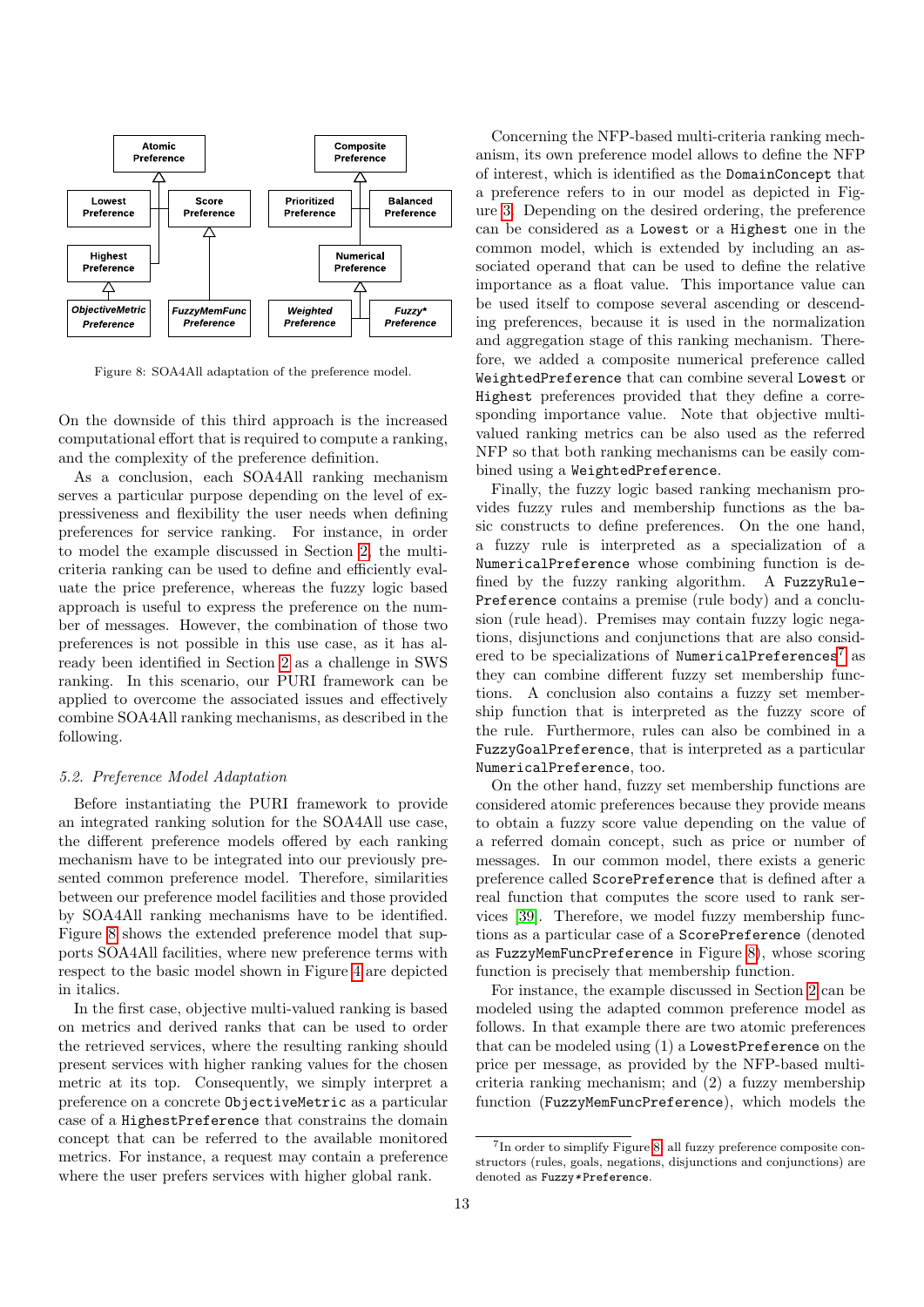

<span id="page-12-1"></span>Figure 8: SOA4All adaptation of the preference model.

On the downside of this third approach is the increased computational effort that is required to compute a ranking, and the complexity of the preference definition.

As a conclusion, each SOA4All ranking mechanism serves a particular purpose depending on the level of expressiveness and flexibility the user needs when defining preferences for service ranking. For instance, in order to model the example discussed in Section [2,](#page-1-1) the multicriteria ranking can be used to define and efficiently evaluate the price preference, whereas the fuzzy logic based approach is useful to express the preference on the number of messages. However, the combination of those two preferences is not possible in this use case, as it has already been identified in Section [2](#page-1-1) as a challenge in SWS ranking. In this scenario, our PURI framework can be applied to overcome the associated issues and effectively combine SOA4All ranking mechanisms, as described in the following.

#### <span id="page-12-0"></span>5.2. Preference Model Adaptation

Before instantiating the PURI framework to provide an integrated ranking solution for the SOA4All use case, the different preference models offered by each ranking mechanism have to be integrated into our previously presented common preference model. Therefore, similarities between our preference model facilities and those provided by SOA4All ranking mechanisms have to be identified. Figure [8](#page-12-1) shows the extended preference model that supports SOA4All facilities, where new preference terms with respect to the basic model shown in Figure [4](#page-6-1) are depicted in italics.

In the first case, objective multi-valued ranking is based on metrics and derived ranks that can be used to order the retrieved services, where the resulting ranking should present services with higher ranking values for the chosen metric at its top. Consequently, we simply interpret a preference on a concrete ObjectiveMetric as a particular case of a HighestPreference that constrains the domain concept that can be referred to the available monitored metrics. For instance, a request may contain a preference where the user prefers services with higher global rank.

Concerning the NFP-based multi-criteria ranking mechanism, its own preference model allows to define the NFP of interest, which is identified as the DomainConcept that a preference refers to in our model as depicted in Figure [3.](#page-6-0) Depending on the desired ordering, the preference can be considered as a Lowest or a Highest one in the common model, which is extended by including an associated operand that can be used to define the relative importance as a float value. This importance value can be used itself to compose several ascending or descending preferences, because it is used in the normalization and aggregation stage of this ranking mechanism. Therefore, we added a composite numerical preference called WeightedPreference that can combine several Lowest or Highest preferences provided that they define a corresponding importance value. Note that objective multivalued ranking metrics can be also used as the referred NFP so that both ranking mechanisms can be easily combined using a WeightedPreference.

Finally, the fuzzy logic based ranking mechanism provides fuzzy rules and membership functions as the basic constructs to define preferences. On the one hand, a fuzzy rule is interpreted as a specialization of a NumericalPreference whose combining function is defined by the fuzzy ranking algorithm. A FuzzyRule-Preference contains a premise (rule body) and a conclusion (rule head). Premises may contain fuzzy logic negations, disjunctions and conjunctions that are also consid-ered to be specializations of NumericalPreferences<sup>[7](#page-12-2)</sup> as they can combine different fuzzy set membership functions. A conclusion also contains a fuzzy set membership function that is interpreted as the fuzzy score of the rule. Furthermore, rules can also be combined in a FuzzyGoalPreference, that is interpreted as a particular NumericalPreference, too.

On the other hand, fuzzy set membership functions are considered atomic preferences because they provide means to obtain a fuzzy score value depending on the value of a referred domain concept, such as price or number of messages. In our common model, there exists a generic preference called ScorePreference that is defined after a real function that computes the score used to rank services [\[39\]](#page-18-4). Therefore, we model fuzzy membership functions as a particular case of a ScorePreference (denoted as FuzzyMemFuncPreference in Figure [8\)](#page-12-1), whose scoring function is precisely that membership function.

For instance, the example discussed in Section [2](#page-1-1) can be modeled using the adapted common preference model as follows. In that example there are two atomic preferences that can be modeled using (1) a LowestPreference on the price per message, as provided by the NFP-based multicriteria ranking mechanism; and (2) a fuzzy membership function (FuzzyMemFuncPreference), which models the

<span id="page-12-2"></span><sup>7</sup> In order to simplify Figure [8,](#page-12-1) all fuzzy preference composite constructors (rules, goals, negations, disjunctions and conjunctions) are denoted as Fuzzy\* Preference.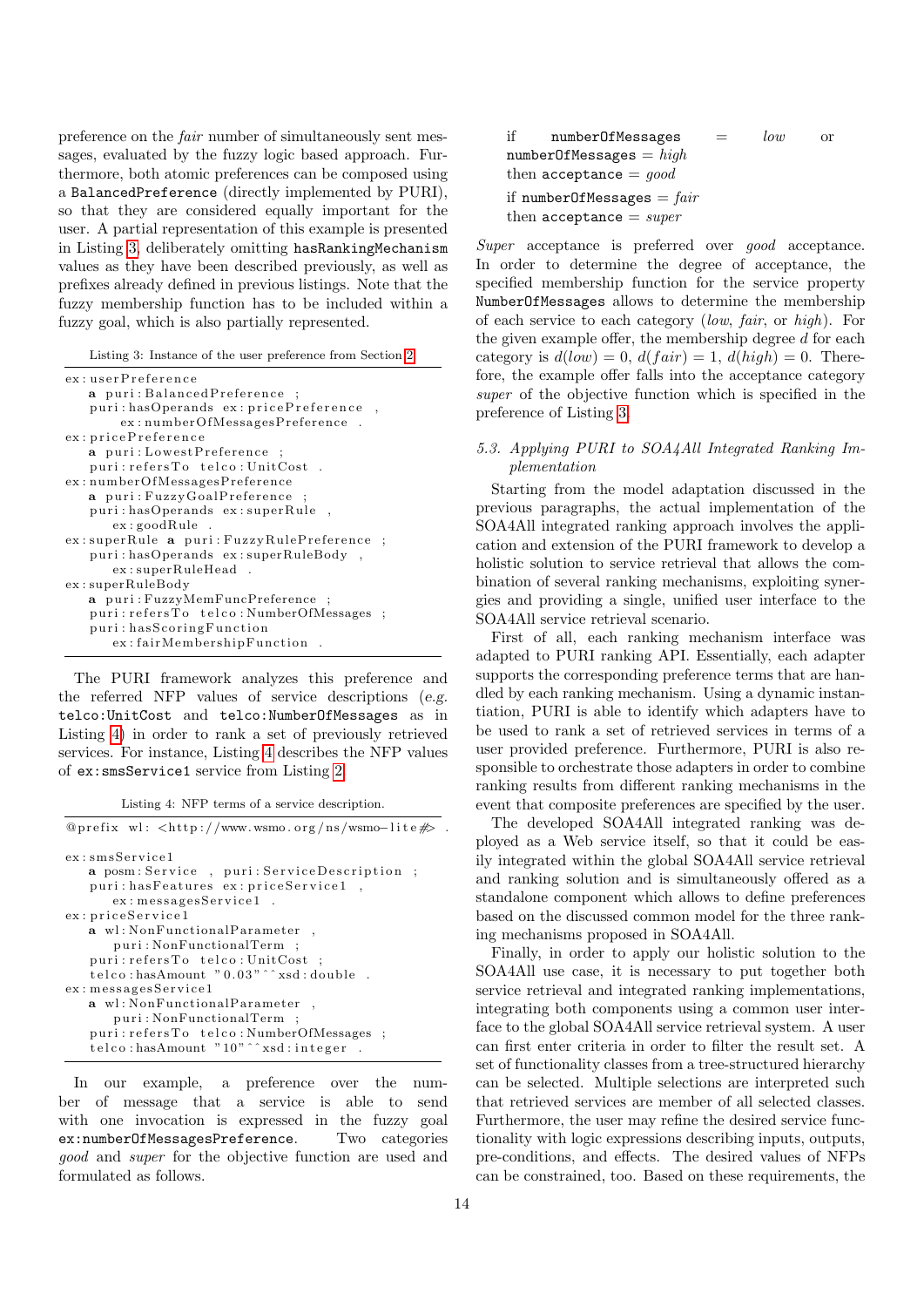preference on the fair number of simultaneously sent messages, evaluated by the fuzzy logic based approach. Furthermore, both atomic preferences can be composed using a BalancedPreference (directly implemented by PURI), so that they are considered equally important for the user. A partial representation of this example is presented in Listing [3,](#page-13-0) deliberately omitting hasRankingMechanism values as they have been described previously, as well as prefixes already defined in previous listings. Note that the fuzzy membership function has to be included within a fuzzy goal, which is also partially represented.

<span id="page-13-0"></span>Listing 3: Instance of the user preference from Section [2.](#page-1-1)

| ex:userPreference                          |  |
|--------------------------------------------|--|
| a puri:BalancedPreference ;                |  |
| puri: hasOperands ex: pricePreference      |  |
| ex:numberOfMessagesPreference.             |  |
| ex: pricePreference                        |  |
| a puri:LowestPreference ;                  |  |
| puri: refersTo telco: UnitCost.            |  |
| ex:numberOfMessagesPreference              |  |
| a puri:FuzzyGoalPreference ;               |  |
| puri: hasOperands ex: superRule,           |  |
| $ex:goodRule$ .                            |  |
| ex: superRule a puri: FuzzyRulePreference; |  |
| puri: hasOperands ex: superRuleBody,       |  |
| ex:superRuleHead.                          |  |
| ex:superRuleBody                           |  |
| a puri: FuzzyMemFuncPreference ;           |  |
| puri: refersTo telco: NumberOfMessages ;   |  |
| puri: hasScoringFunction                   |  |
| ex:fairMembershipFunction                  |  |

The PURI framework analyzes this preference and the referred NFP values of service descriptions (e.g. telco:UnitCost and telco:NumberOfMessages as in Listing [4\)](#page-13-1) in order to rank a set of previously retrieved services. For instance, Listing [4](#page-13-1) describes the NFP values of ex:smsService1 service from Listing [2.](#page-5-4)

Listing 4: NFP terms of a service description.

<span id="page-13-1"></span>

| $@prefix$ wl: <http: ns="" wsmo-lite<math="" www.wsmo.org="">#.</http:> |
|-------------------------------------------------------------------------|
| $ex: \texttt{smsService1}$                                              |
| a posm: Service, puri: ServiceDescription;                              |
| puri: has Features ex: price Service 1,                                 |
| ex: messagesService1 .                                                  |
| ex: priceService1                                                       |
| a wl:NonFunctionalParameter,                                            |
| puri: NonFunctionalTerm;                                                |
| puri: refersTo telco: UnitCost;                                         |
| telco: has Amount "0.03" ^ xsd: double.                                 |
| ex: messagesService1                                                    |
| a wl:NonFunctionalParameter,                                            |
| puri: NonFunctionalTerm;                                                |
| puri: refersTo telco: NumberOfMessages;                                 |
| telco: has Amount "10" ^ xsd: integer.                                  |

In our example, a preference over the number of message that a service is able to send with one invocation is expressed in the fuzzy goal ex:numberOfMessagesPreference. Two categories good and super for the objective function are used and formulated as follows.

if numberOfMessages  $=$   $low$  or  $numberOfMessages = high$ then acceptance  $= good$ if numberOfMessages  $=$   $fair$ then acceptance  $= super$ 

Super acceptance is preferred over good acceptance. In order to determine the degree of acceptance, the specified membership function for the service property NumberOfMessages allows to determine the membership of each service to each category (low, fair, or high). For the given example offer, the membership degree d for each category is  $d(low) = 0$ ,  $d(fair) = 1$ ,  $d(high) = 0$ . Therefore, the example offer falls into the acceptance category super of the objective function which is specified in the preference of Listing [3.](#page-13-0)

# 5.3. Applying PURI to SOA4All Integrated Ranking Implementation

Starting from the model adaptation discussed in the previous paragraphs, the actual implementation of the SOA4All integrated ranking approach involves the application and extension of the PURI framework to develop a holistic solution to service retrieval that allows the combination of several ranking mechanisms, exploiting synergies and providing a single, unified user interface to the SOA4All service retrieval scenario.

First of all, each ranking mechanism interface was adapted to PURI ranking API. Essentially, each adapter supports the corresponding preference terms that are handled by each ranking mechanism. Using a dynamic instantiation, PURI is able to identify which adapters have to be used to rank a set of retrieved services in terms of a user provided preference. Furthermore, PURI is also responsible to orchestrate those adapters in order to combine ranking results from different ranking mechanisms in the event that composite preferences are specified by the user.

The developed SOA4All integrated ranking was deployed as a Web service itself, so that it could be easily integrated within the global SOA4All service retrieval and ranking solution and is simultaneously offered as a standalone component which allows to define preferences based on the discussed common model for the three ranking mechanisms proposed in SOA4All.

Finally, in order to apply our holistic solution to the SOA4All use case, it is necessary to put together both service retrieval and integrated ranking implementations, integrating both components using a common user interface to the global SOA4All service retrieval system. A user can first enter criteria in order to filter the result set. A set of functionality classes from a tree-structured hierarchy can be selected. Multiple selections are interpreted such that retrieved services are member of all selected classes. Furthermore, the user may refine the desired service functionality with logic expressions describing inputs, outputs, pre-conditions, and effects. The desired values of NFPs can be constrained, too. Based on these requirements, the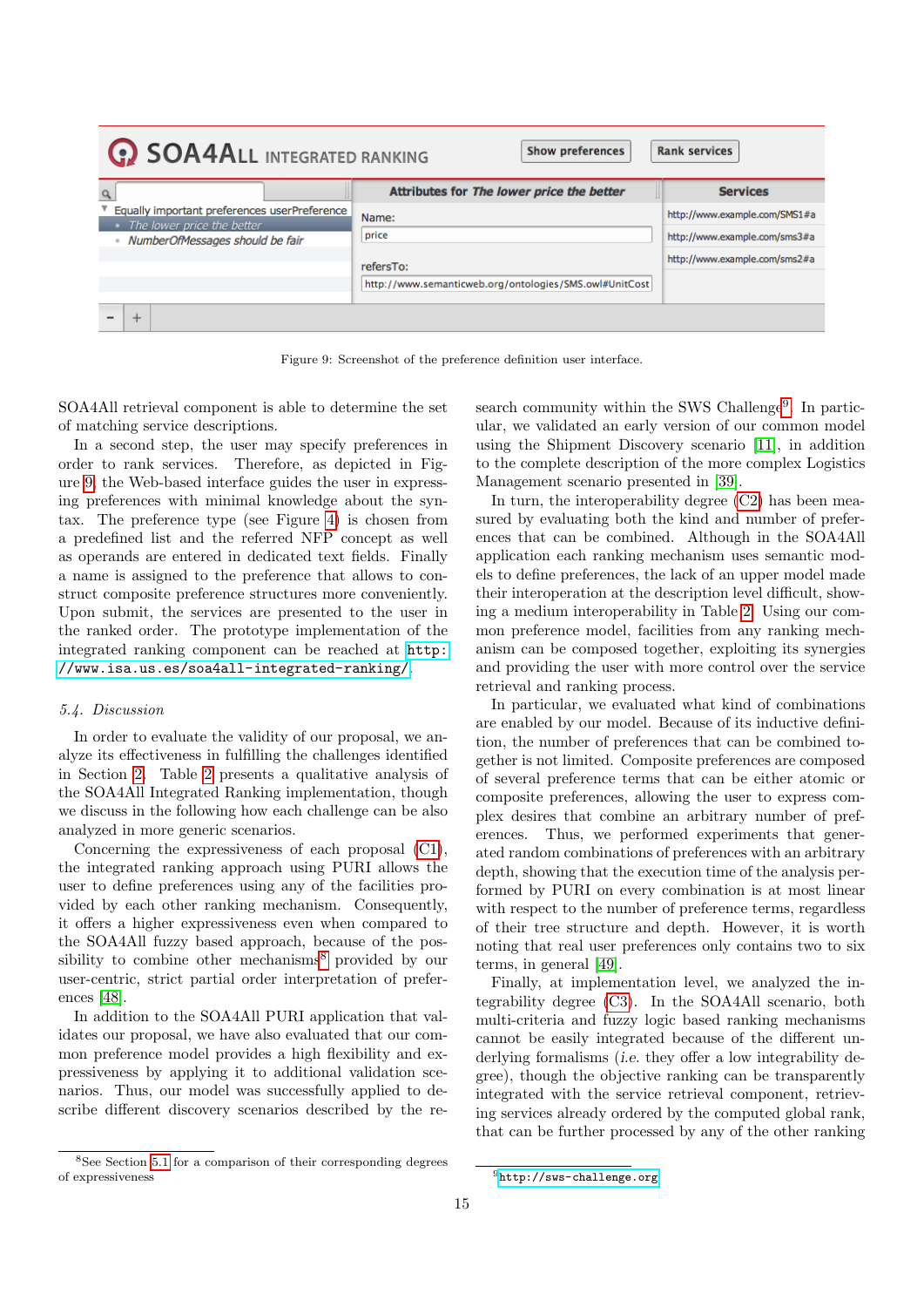| <b>G SOA4ALL INTEGRATED RANKING</b><br><b>Rank services</b><br><b>Show preferences</b> |                                                        |                               |  |  |
|----------------------------------------------------------------------------------------|--------------------------------------------------------|-------------------------------|--|--|
| Q                                                                                      | Attributes for The lower price the better              | <b>Services</b>               |  |  |
| Equally important preferences userPreference<br>• The lower price the better           | Name:                                                  | http://www.example.com/SMS1#a |  |  |
| • NumberOfMessages should be fair                                                      | price                                                  | http://www.example.com/sms3#a |  |  |
|                                                                                        | refersTo:                                              | http://www.example.com/sms2#a |  |  |
|                                                                                        | http://www.semanticweb.org/ontologies/SMS.owl#UnitCost |                               |  |  |
|                                                                                        |                                                        |                               |  |  |

<span id="page-14-0"></span>Figure 9: Screenshot of the preference definition user interface.

SOA4All retrieval component is able to determine the set of matching service descriptions.

In a second step, the user may specify preferences in order to rank services. Therefore, as depicted in Figure [9,](#page-14-0) the Web-based interface guides the user in expressing preferences with minimal knowledge about the syntax. The preference type (see Figure [4\)](#page-6-1) is chosen from a predefined list and the referred NFP concept as well as operands are entered in dedicated text fields. Finally a name is assigned to the preference that allows to construct composite preference structures more conveniently. Upon submit, the services are presented to the user in the ranked order. The prototype implementation of the integrated ranking component can be reached at [http:](http://www.isa.us.es/soa4all-integrated-ranking/) [//www.isa.us.es/soa4all-integrated-ranking/](http://www.isa.us.es/soa4all-integrated-ranking/).

## 5.4. Discussion

In order to evaluate the validity of our proposal, we analyze its effectiveness in fulfilling the challenges identified in Section [2.](#page-1-1) Table [2](#page-15-1) presents a qualitative analysis of the SOA4All Integrated Ranking implementation, though we discuss in the following how each challenge can be also analyzed in more generic scenarios.

Concerning the expressiveness of each proposal [\(C1\)](#page-2-1), the integrated ranking approach using PURI allows the user to define preferences using any of the facilities provided by each other ranking mechanism. Consequently, it offers a higher expressiveness even when compared to the SOA4All fuzzy based approach, because of the pos-sibility to combine other mechanisms<sup>[8](#page-14-1)</sup> provided by our user-centric, strict partial order interpretation of preferences [\[48\]](#page-18-13).

In addition to the SOA4All PURI application that validates our proposal, we have also evaluated that our common preference model provides a high flexibility and expressiveness by applying it to additional validation scenarios. Thus, our model was successfully applied to describe different discovery scenarios described by the re-

<span id="page-14-1"></span><sup>8</sup>See Section [5.1](#page-8-2) for a comparison of their corresponding degrees of expressiveness

search community within the SWS Challenge<sup>[9](#page-14-2)</sup>. In particular, we validated an early version of our common model using the Shipment Discovery scenario [\[11\]](#page-17-10), in addition to the complete description of the more complex Logistics Management scenario presented in [\[39\]](#page-18-4).

In turn, the interoperability degree  $(C2)$  has been measured by evaluating both the kind and number of preferences that can be combined. Although in the SOA4All application each ranking mechanism uses semantic models to define preferences, the lack of an upper model made their interoperation at the description level difficult, showing a medium interoperability in Table [2.](#page-15-1) Using our common preference model, facilities from any ranking mechanism can be composed together, exploiting its synergies and providing the user with more control over the service retrieval and ranking process.

In particular, we evaluated what kind of combinations are enabled by our model. Because of its inductive definition, the number of preferences that can be combined together is not limited. Composite preferences are composed of several preference terms that can be either atomic or composite preferences, allowing the user to express complex desires that combine an arbitrary number of preferences. Thus, we performed experiments that generated random combinations of preferences with an arbitrary depth, showing that the execution time of the analysis performed by PURI on every combination is at most linear with respect to the number of preference terms, regardless of their tree structure and depth. However, it is worth noting that real user preferences only contains two to six terms, in general [\[49\]](#page-18-14).

Finally, at implementation level, we analyzed the integrability degree [\(C3\)](#page-2-3). In the SOA4All scenario, both multi-criteria and fuzzy logic based ranking mechanisms cannot be easily integrated because of the different underlying formalisms (i.e. they offer a low integrability degree), though the objective ranking can be transparently integrated with the service retrieval component, retrieving services already ordered by the computed global rank, that can be further processed by any of the other ranking

<span id="page-14-2"></span><sup>9</sup><http://sws-challenge.org>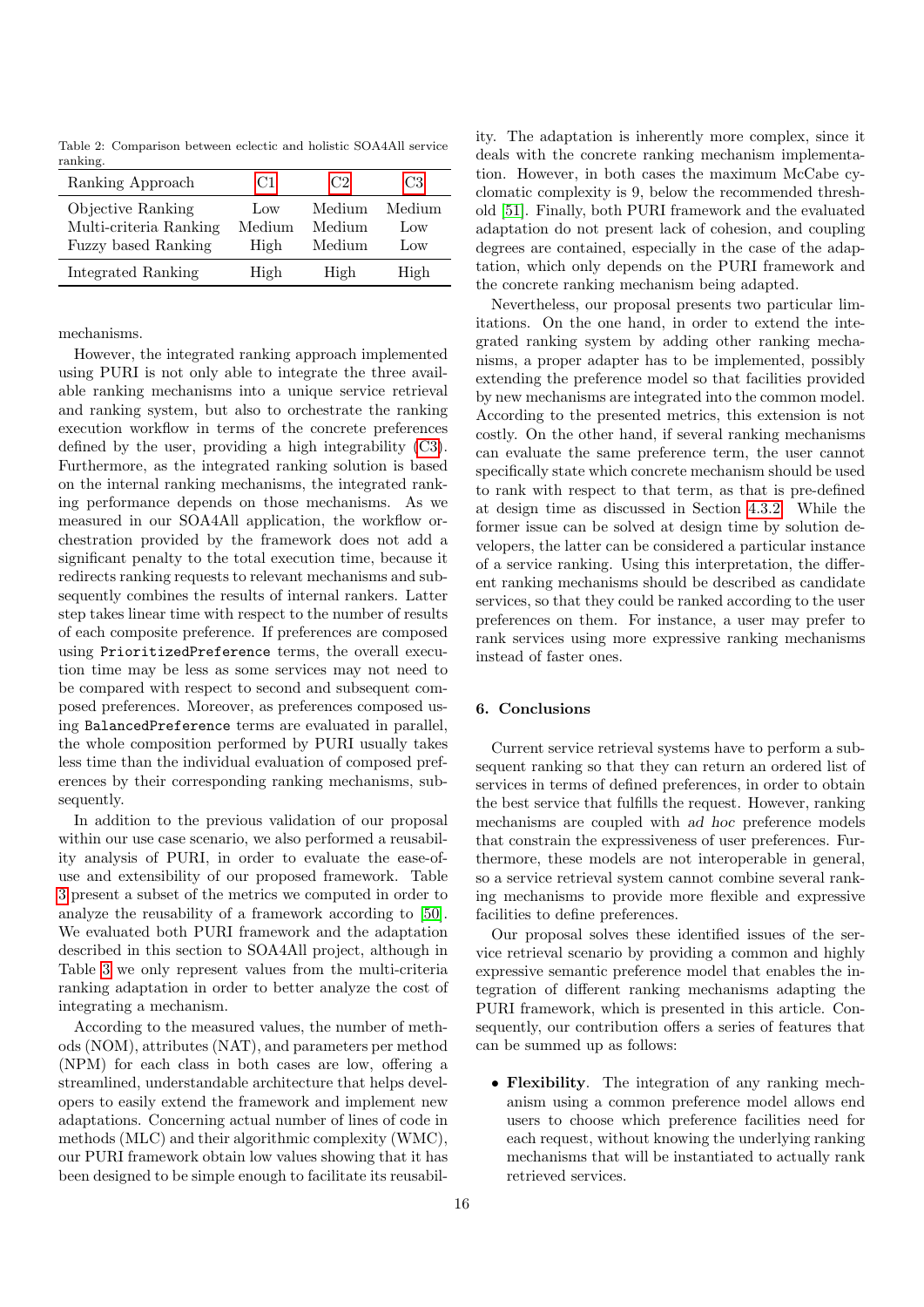<span id="page-15-1"></span>Table 2: Comparison between eclectic and holistic SOA4All service ranking.

| Ranking Approach       | C1              | C2     | C3              |
|------------------------|-----------------|--------|-----------------|
| Objective Ranking      | $_{\text{low}}$ | Medium | Medium          |
| Multi-criteria Ranking | Medium          | Medium | $_{\text{low}}$ |
| Fuzzy based Ranking    | High            | Medium | Low             |
| Integrated Ranking     | High            | High   | High            |

mechanisms.

However, the integrated ranking approach implemented using PURI is not only able to integrate the three available ranking mechanisms into a unique service retrieval and ranking system, but also to orchestrate the ranking execution workflow in terms of the concrete preferences defined by the user, providing a high integrability [\(C3\)](#page-2-3). Furthermore, as the integrated ranking solution is based on the internal ranking mechanisms, the integrated ranking performance depends on those mechanisms. As we measured in our SOA4All application, the workflow orchestration provided by the framework does not add a significant penalty to the total execution time, because it redirects ranking requests to relevant mechanisms and subsequently combines the results of internal rankers. Latter step takes linear time with respect to the number of results of each composite preference. If preferences are composed using PrioritizedPreference terms, the overall execution time may be less as some services may not need to be compared with respect to second and subsequent composed preferences. Moreover, as preferences composed using BalancedPreference terms are evaluated in parallel, the whole composition performed by PURI usually takes less time than the individual evaluation of composed preferences by their corresponding ranking mechanisms, subsequently.

In addition to the previous validation of our proposal within our use case scenario, we also performed a reusability analysis of PURI, in order to evaluate the ease-ofuse and extensibility of our proposed framework. Table [3](#page-16-0) present a subset of the metrics we computed in order to analyze the reusability of a framework according to [\[50\]](#page-18-15). We evaluated both PURI framework and the adaptation described in this section to SOA4All project, although in Table [3](#page-16-0) we only represent values from the multi-criteria ranking adaptation in order to better analyze the cost of integrating a mechanism.

According to the measured values, the number of methods (NOM), attributes (NAT), and parameters per method (NPM) for each class in both cases are low, offering a streamlined, understandable architecture that helps developers to easily extend the framework and implement new adaptations. Concerning actual number of lines of code in methods (MLC) and their algorithmic complexity (WMC), our PURI framework obtain low values showing that it has been designed to be simple enough to facilitate its reusability. The adaptation is inherently more complex, since it deals with the concrete ranking mechanism implementation. However, in both cases the maximum McCabe cyclomatic complexity is 9, below the recommended threshold [\[51\]](#page-18-16). Finally, both PURI framework and the evaluated adaptation do not present lack of cohesion, and coupling degrees are contained, especially in the case of the adaptation, which only depends on the PURI framework and the concrete ranking mechanism being adapted.

Nevertheless, our proposal presents two particular limitations. On the one hand, in order to extend the integrated ranking system by adding other ranking mechanisms, a proper adapter has to be implemented, possibly extending the preference model so that facilities provided by new mechanisms are integrated into the common model. According to the presented metrics, this extension is not costly. On the other hand, if several ranking mechanisms can evaluate the same preference term, the user cannot specifically state which concrete mechanism should be used to rank with respect to that term, as that is pre-defined at design time as discussed in Section [4.3.2.](#page-6-3) While the former issue can be solved at design time by solution developers, the latter can be considered a particular instance of a service ranking. Using this interpretation, the different ranking mechanisms should be described as candidate services, so that they could be ranked according to the user preferences on them. For instance, a user may prefer to rank services using more expressive ranking mechanisms instead of faster ones.

# <span id="page-15-0"></span>6. Conclusions

Current service retrieval systems have to perform a subsequent ranking so that they can return an ordered list of services in terms of defined preferences, in order to obtain the best service that fulfills the request. However, ranking mechanisms are coupled with ad hoc preference models that constrain the expressiveness of user preferences. Furthermore, these models are not interoperable in general, so a service retrieval system cannot combine several ranking mechanisms to provide more flexible and expressive facilities to define preferences.

Our proposal solves these identified issues of the service retrieval scenario by providing a common and highly expressive semantic preference model that enables the integration of different ranking mechanisms adapting the PURI framework, which is presented in this article. Consequently, our contribution offers a series of features that can be summed up as follows:

• Flexibility. The integration of any ranking mechanism using a common preference model allows end users to choose which preference facilities need for each request, without knowing the underlying ranking mechanisms that will be instantiated to actually rank retrieved services.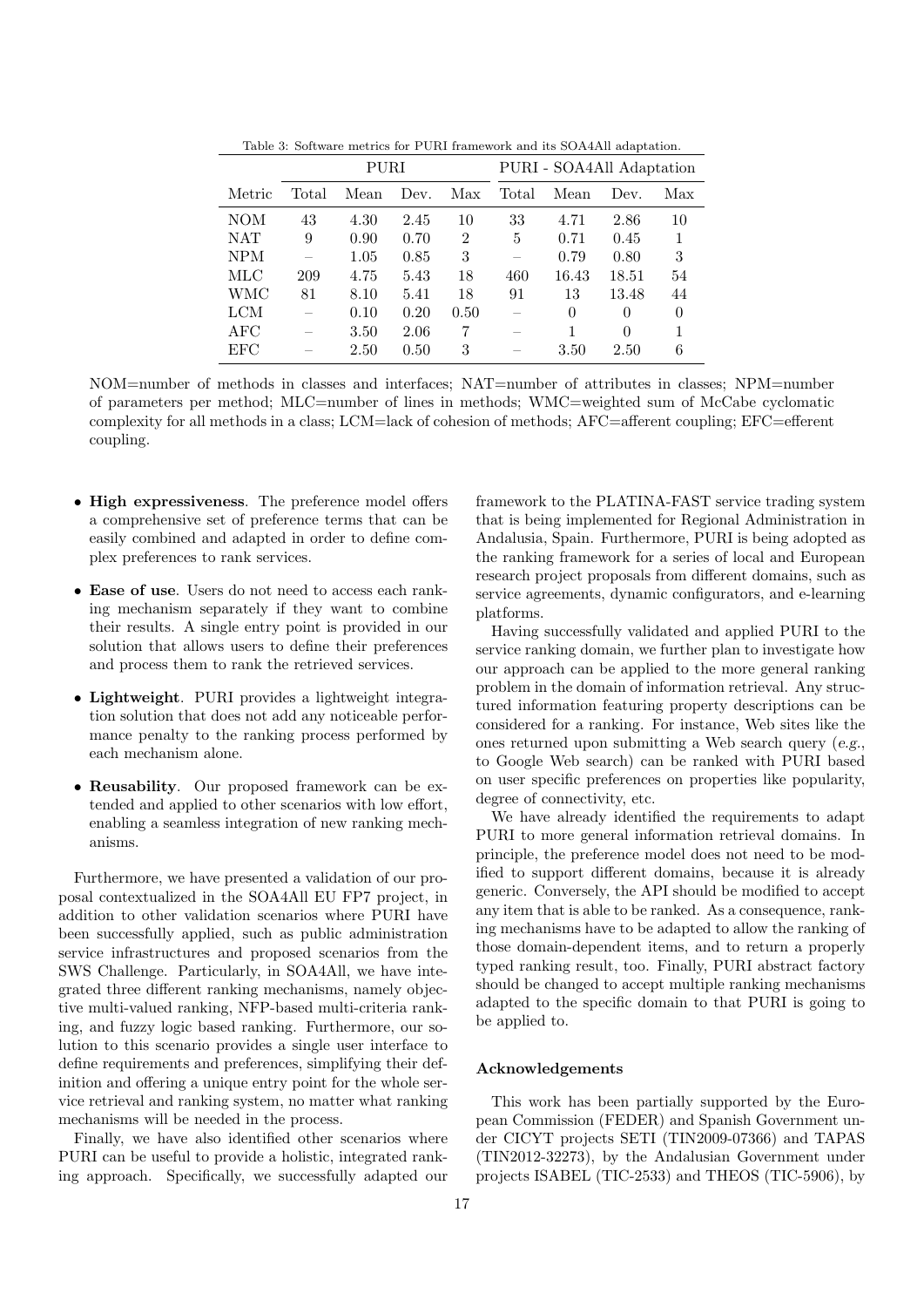|            | PURI  |      |      | PURI - SOA4All Adaptation |       |          |            |          |
|------------|-------|------|------|---------------------------|-------|----------|------------|----------|
| Metric     | Total | Mean | Dev. | Max                       | Total | Mean     | $\rm Dev.$ | Max      |
| NOM        | 43    | 4.30 | 2.45 | 10                        | 33    | 4.71     | 2.86       | 10       |
| <b>NAT</b> | 9     | 0.90 | 0.70 | $\overline{2}$            | 5     | 0.71     | 0.45       | 1        |
| <b>NPM</b> |       | 1.05 | 0.85 | 3                         |       | 0.79     | 0.80       | 3        |
| MLC        | 209   | 4.75 | 5.43 | 18                        | 460   | 16.43    | 18.51      | 54       |
| WMC        | 81    | 8.10 | 5.41 | 18                        | 91    | 13       | 13.48      | 44       |
| <b>LCM</b> |       | 0.10 | 0.20 | 0.50                      |       | $\Omega$ | 0          | $\theta$ |
| AFC        |       | 3.50 | 2.06 | 7                         |       | 1        | $\Omega$   |          |
| EFC        |       | 2.50 | 0.50 | 3                         |       | 3.50     | 2.50       | 6        |

<span id="page-16-0"></span>Table 3: Software metrics for PURI framework and its SOA4All adaptation.

NOM=number of methods in classes and interfaces; NAT=number of attributes in classes; NPM=number of parameters per method; MLC=number of lines in methods; WMC=weighted sum of McCabe cyclomatic complexity for all methods in a class; LCM=lack of cohesion of methods; AFC=afferent coupling; EFC=efferent coupling.

- High expressiveness. The preference model offers a comprehensive set of preference terms that can be easily combined and adapted in order to define complex preferences to rank services.
- Ease of use. Users do not need to access each ranking mechanism separately if they want to combine their results. A single entry point is provided in our solution that allows users to define their preferences and process them to rank the retrieved services.
- Lightweight. PURI provides a lightweight integration solution that does not add any noticeable performance penalty to the ranking process performed by each mechanism alone.
- Reusability. Our proposed framework can be extended and applied to other scenarios with low effort, enabling a seamless integration of new ranking mechanisms.

Furthermore, we have presented a validation of our proposal contextualized in the SOA4All EU FP7 project, in addition to other validation scenarios where PURI have been successfully applied, such as public administration service infrastructures and proposed scenarios from the SWS Challenge. Particularly, in SOA4All, we have integrated three different ranking mechanisms, namely objective multi-valued ranking, NFP-based multi-criteria ranking, and fuzzy logic based ranking. Furthermore, our solution to this scenario provides a single user interface to define requirements and preferences, simplifying their definition and offering a unique entry point for the whole service retrieval and ranking system, no matter what ranking mechanisms will be needed in the process.

Finally, we have also identified other scenarios where PURI can be useful to provide a holistic, integrated ranking approach. Specifically, we successfully adapted our

framework to the PLATINA-FAST service trading system that is being implemented for Regional Administration in Andalusia, Spain. Furthermore, PURI is being adopted as the ranking framework for a series of local and European research project proposals from different domains, such as service agreements, dynamic configurators, and e-learning platforms.

Having successfully validated and applied PURI to the service ranking domain, we further plan to investigate how our approach can be applied to the more general ranking problem in the domain of information retrieval. Any structured information featuring property descriptions can be considered for a ranking. For instance, Web sites like the ones returned upon submitting a Web search query (e.g., to Google Web search) can be ranked with PURI based on user specific preferences on properties like popularity, degree of connectivity, etc.

We have already identified the requirements to adapt PURI to more general information retrieval domains. In principle, the preference model does not need to be modified to support different domains, because it is already generic. Conversely, the API should be modified to accept any item that is able to be ranked. As a consequence, ranking mechanisms have to be adapted to allow the ranking of those domain-dependent items, and to return a properly typed ranking result, too. Finally, PURI abstract factory should be changed to accept multiple ranking mechanisms adapted to the specific domain to that PURI is going to be applied to.

## Acknowledgements

This work has been partially supported by the European Commission (FEDER) and Spanish Government under CICYT projects SETI (TIN2009-07366) and TAPAS (TIN2012-32273), by the Andalusian Government under projects ISABEL (TIC-2533) and THEOS (TIC-5906), by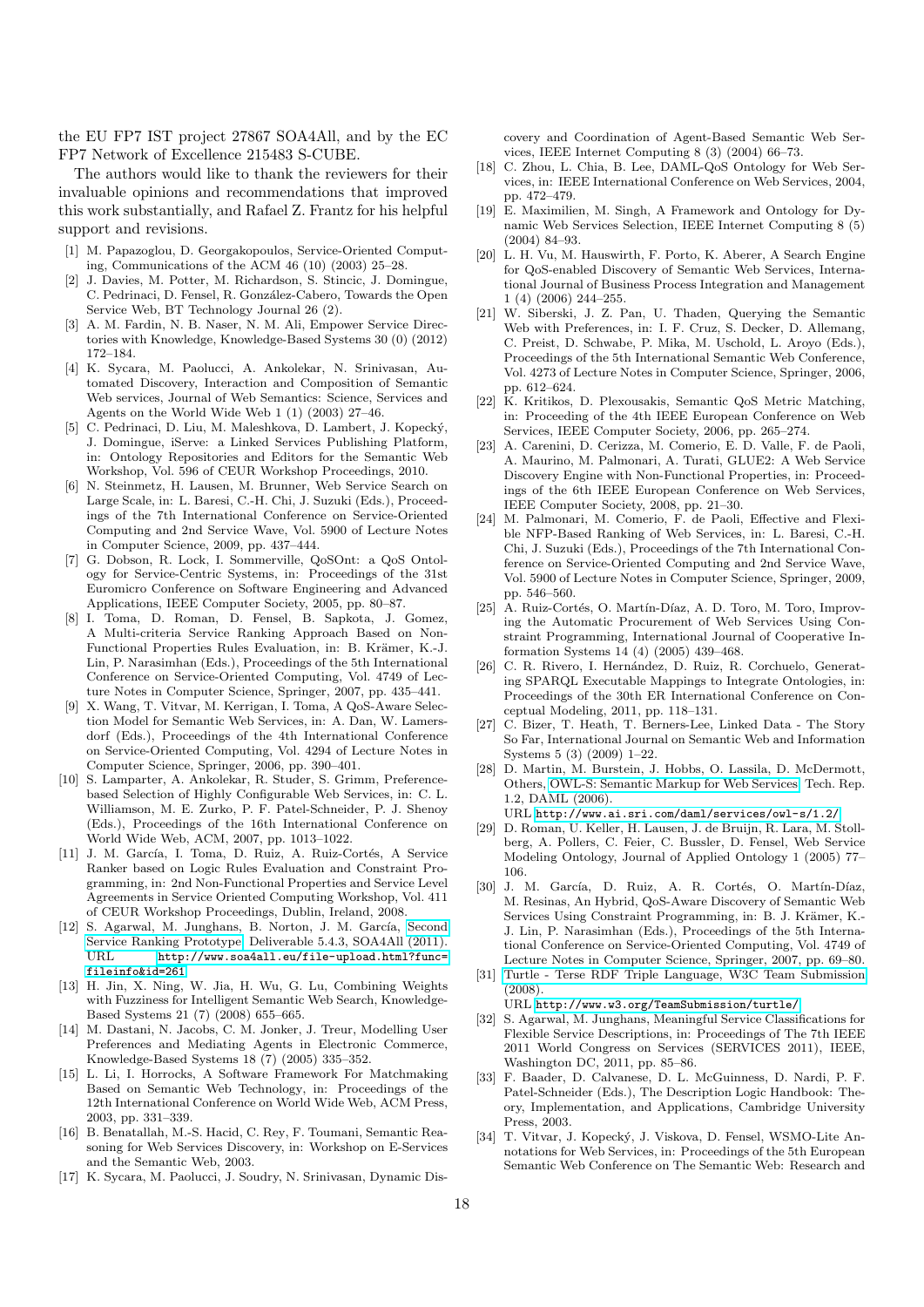the EU FP7 IST project 27867 SOA4All, and by the EC FP7 Network of Excellence 215483 S-CUBE.

The authors would like to thank the reviewers for their invaluable opinions and recommendations that improved this work substantially, and Rafael Z. Frantz for his helpful support and revisions.

- <span id="page-17-0"></span>[1] M. Papazoglou, D. Georgakopoulos, Service-Oriented Computing, Communications of the ACM 46 (10) (2003) 25–28.
- <span id="page-17-1"></span>[2] J. Davies, M. Potter, M. Richardson, S. Stincic, J. Domingue, C. Pedrinaci, D. Fensel, R. González-Cabero, Towards the Open Service Web, BT Technology Journal 26 (2).
- <span id="page-17-2"></span>[3] A. M. Fardin, N. B. Naser, N. M. Ali, Empower Service Directories with Knowledge, Knowledge-Based Systems 30 (0) (2012) 172–184.
- <span id="page-17-3"></span>[4] K. Sycara, M. Paolucci, A. Ankolekar, N. Srinivasan, Automated Discovery, Interaction and Composition of Semantic Web services, Journal of Web Semantics: Science, Services and Agents on the World Wide Web 1 (1) (2003) 27–46.
- <span id="page-17-4"></span>[5] C. Pedrinaci, D. Liu, M. Maleshkova, D. Lambert, J. Kopeck´y, J. Domingue, iServe: a Linked Services Publishing Platform, in: Ontology Repositories and Editors for the Semantic Web Workshop, Vol. 596 of CEUR Workshop Proceedings, 2010.
- <span id="page-17-5"></span>[6] N. Steinmetz, H. Lausen, M. Brunner, Web Service Search on Large Scale, in: L. Baresi, C.-H. Chi, J. Suzuki (Eds.), Proceedings of the 7th International Conference on Service-Oriented Computing and 2nd Service Wave, Vol. 5900 of Lecture Notes in Computer Science, 2009, pp. 437–444.
- <span id="page-17-6"></span>[7] G. Dobson, R. Lock, I. Sommerville, QoSOnt: a QoS Ontology for Service-Centric Systems, in: Proceedings of the 31st Euromicro Conference on Software Engineering and Advanced Applications, IEEE Computer Society, 2005, pp. 80–87.
- <span id="page-17-7"></span>[8] I. Toma, D. Roman, D. Fensel, B. Sapkota, J. Gomez, A Multi-criteria Service Ranking Approach Based on Non-Functional Properties Rules Evaluation, in: B. Krämer, K.-J. Lin, P. Narasimhan (Eds.), Proceedings of the 5th International Conference on Service-Oriented Computing, Vol. 4749 of Lecture Notes in Computer Science, Springer, 2007, pp. 435–441.
- <span id="page-17-8"></span>[9] X. Wang, T. Vitvar, M. Kerrigan, I. Toma, A QoS-Aware Selection Model for Semantic Web Services, in: A. Dan, W. Lamersdorf (Eds.), Proceedings of the 4th International Conference on Service-Oriented Computing, Vol. 4294 of Lecture Notes in Computer Science, Springer, 2006, pp. 390–401.
- <span id="page-17-9"></span>[10] S. Lamparter, A. Ankolekar, R. Studer, S. Grimm, Preferencebased Selection of Highly Configurable Web Services, in: C. L. Williamson, M. E. Zurko, P. F. Patel-Schneider, P. J. Shenoy (Eds.), Proceedings of the 16th International Conference on World Wide Web, ACM, 2007, pp. 1013–1022.
- <span id="page-17-10"></span>[11] J. M. García, I. Toma, D. Ruiz, A. Ruiz-Cortés, A Service Ranker based on Logic Rules Evaluation and Constraint Programming, in: 2nd Non-Functional Properties and Service Level Agreements in Service Oriented Computing Workshop, Vol. 411 of CEUR Workshop Proceedings, Dublin, Ireland, 2008.
- <span id="page-17-11"></span>[12] S. Agarwal, M. Junghans, B. Norton, J. M. García, [Second](http://www.soa4all.eu/file-upload.html?func=fileinfo&id=261) [Service Ranking Prototype,](http://www.soa4all.eu/file-upload.html?func=fileinfo&id=261) Deliverable 5.4.3, SOA4All (2011). URL [http://www.soa4all.eu/file-upload.html?func=](http://www.soa4all.eu/file-upload.html?func=fileinfo&id=261) [fileinfo&id=261](http://www.soa4all.eu/file-upload.html?func=fileinfo&id=261)
- <span id="page-17-12"></span>[13] H. Jin, X. Ning, W. Jia, H. Wu, G. Lu, Combining Weights with Fuzziness for Intelligent Semantic Web Search, Knowledge-Based Systems 21 (7) (2008) 655–665.
- <span id="page-17-13"></span>[14] M. Dastani, N. Jacobs, C. M. Jonker, J. Treur, Modelling User Preferences and Mediating Agents in Electronic Commerce, Knowledge-Based Systems 18 (7) (2005) 335–352.
- <span id="page-17-14"></span>[15] L. Li, I. Horrocks, A Software Framework For Matchmaking Based on Semantic Web Technology, in: Proceedings of the 12th International Conference on World Wide Web, ACM Press, 2003, pp. 331–339.
- <span id="page-17-15"></span>[16] B. Benatallah, M.-S. Hacid, C. Rey, F. Toumani, Semantic Reasoning for Web Services Discovery, in: Workshop on E-Services and the Semantic Web, 2003.
- <span id="page-17-16"></span>[17] K. Sycara, M. Paolucci, J. Soudry, N. Srinivasan, Dynamic Dis-

covery and Coordination of Agent-Based Semantic Web Services, IEEE Internet Computing 8 (3) (2004) 66–73.

- <span id="page-17-17"></span>[18] C. Zhou, L. Chia, B. Lee, DAML-QoS Ontology for Web Services, in: IEEE International Conference on Web Services, 2004, pp. 472–479.
- <span id="page-17-18"></span>[19] E. Maximilien, M. Singh, A Framework and Ontology for Dynamic Web Services Selection, IEEE Internet Computing 8 (5) (2004) 84–93.
- <span id="page-17-19"></span>[20] L. H. Vu, M. Hauswirth, F. Porto, K. Aberer, A Search Engine for QoS-enabled Discovery of Semantic Web Services, International Journal of Business Process Integration and Management 1 (4) (2006) 244–255.
- <span id="page-17-24"></span>[21] W. Siberski, J. Z. Pan, U. Thaden, Querying the Semantic Web with Preferences, in: I. F. Cruz, S. Decker, D. Allemang, C. Preist, D. Schwabe, P. Mika, M. Uschold, L. Aroyo (Eds.), Proceedings of the 5th International Semantic Web Conference, Vol. 4273 of Lecture Notes in Computer Science, Springer, 2006, pp. 612–624.
- <span id="page-17-20"></span>[22] K. Kritikos, D. Plexousakis, Semantic QoS Metric Matching, in: Proceeding of the 4th IEEE European Conference on Web Services, IEEE Computer Society, 2006, pp. 265–274.
- <span id="page-17-22"></span>[23] A. Carenini, D. Cerizza, M. Comerio, E. D. Valle, F. de Paoli, A. Maurino, M. Palmonari, A. Turati, GLUE2: A Web Service Discovery Engine with Non-Functional Properties, in: Proceedings of the 6th IEEE European Conference on Web Services, IEEE Computer Society, 2008, pp. 21–30.
- <span id="page-17-23"></span>[24] M. Palmonari, M. Comerio, F. de Paoli, Effective and Flexible NFP-Based Ranking of Web Services, in: L. Baresi, C.-H. Chi, J. Suzuki (Eds.), Proceedings of the 7th International Conference on Service-Oriented Computing and 2nd Service Wave, Vol. 5900 of Lecture Notes in Computer Science, Springer, 2009, pp. 546–560.
- <span id="page-17-21"></span>[25] A. Ruiz-Cortés, O. Martín-Díaz, A. D. Toro, M. Toro, Improving the Automatic Procurement of Web Services Using Constraint Programming, International Journal of Cooperative Information Systems 14 (4) (2005) 439–468.
- <span id="page-17-25"></span>[26] C. R. Rivero, I. Hernández, D. Ruiz, R. Corchuelo, Generating SPARQL Executable Mappings to Integrate Ontologies, in: Proceedings of the 30th ER International Conference on Conceptual Modeling, 2011, pp. 118–131.
- <span id="page-17-26"></span>[27] C. Bizer, T. Heath, T. Berners-Lee, Linked Data - The Story So Far, International Journal on Semantic Web and Information Systems 5 (3) (2009) 1–22.
- <span id="page-17-27"></span>[28] D. Martin, M. Burstein, J. Hobbs, O. Lassila, D. McDermott, Others, [OWL-S: Semantic Markup for Web Services,](http://www.ai.sri.com/daml/services/owl-s/1.2/) Tech. Rep. 1.2, DAML (2006).

URL <http://www.ai.sri.com/daml/services/owl-s/1.2/>

- <span id="page-17-28"></span>[29] D. Roman, U. Keller, H. Lausen, J. de Bruijn, R. Lara, M. Stollberg, A. Pollers, C. Feier, C. Bussler, D. Fensel, Web Service Modeling Ontology, Journal of Applied Ontology 1 (2005) 77– 106.
- <span id="page-17-29"></span>[30] J. M. García, D. Ruiz, A. R. Cortés, O. Martín-Díaz, M. Resinas, An Hybrid, QoS-Aware Discovery of Semantic Web Services Using Constraint Programming, in: B. J. Krämer, K.-J. Lin, P. Narasimhan (Eds.), Proceedings of the 5th International Conference on Service-Oriented Computing, Vol. 4749 of Lecture Notes in Computer Science, Springer, 2007, pp. 69–80.
- <span id="page-17-30"></span>[31] [Turtle - Terse RDF Triple Language, W3C Team Submission](http://www.w3.org/TeamSubmission/turtle/) (2008).

URL <http://www.w3.org/TeamSubmission/turtle/>

- <span id="page-17-31"></span>[32] S. Agarwal, M. Junghans, Meaningful Service Classifications for Flexible Service Descriptions, in: Proceedings of The 7th IEEE 2011 World Congress on Services (SERVICES 2011), IEEE, Washington DC, 2011, pp. 85–86.
- <span id="page-17-32"></span>[33] F. Baader, D. Calvanese, D. L. McGuinness, D. Nardi, P. F. Patel-Schneider (Eds.), The Description Logic Handbook: Theory, Implementation, and Applications, Cambridge University Press, 2003.
- <span id="page-17-33"></span>[34] T. Vitvar, J. Kopecký, J. Viskova, D. Fensel, WSMO-Lite Annotations for Web Services, in: Proceedings of the 5th European Semantic Web Conference on The Semantic Web: Research and